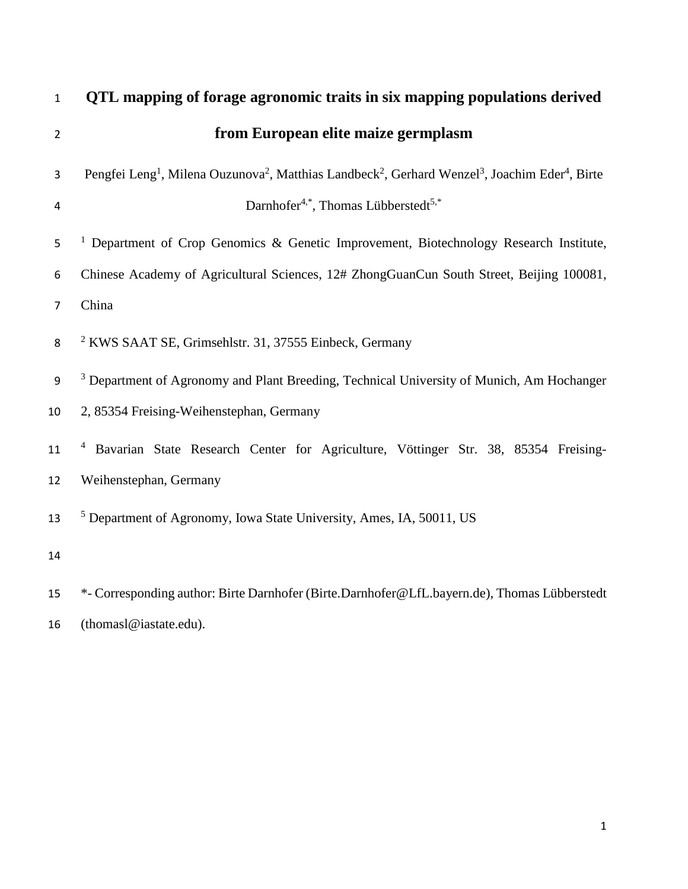| $\mathbf{1}$   | QTL mapping of forage agronomic traits in six mapping populations derived                                                                                   |  |  |  |  |  |  |  |  |  |  |  |  |  |
|----------------|-------------------------------------------------------------------------------------------------------------------------------------------------------------|--|--|--|--|--|--|--|--|--|--|--|--|--|
| $\overline{2}$ | from European elite maize germplasm                                                                                                                         |  |  |  |  |  |  |  |  |  |  |  |  |  |
| 3              | Pengfei Leng <sup>1</sup> , Milena Ouzunova <sup>2</sup> , Matthias Landbeck <sup>2</sup> , Gerhard Wenzel <sup>3</sup> , Joachim Eder <sup>4</sup> , Birte |  |  |  |  |  |  |  |  |  |  |  |  |  |
| 4              | Darnhofer <sup>4,*</sup> , Thomas Lübberstedt <sup>5,*</sup>                                                                                                |  |  |  |  |  |  |  |  |  |  |  |  |  |
| 5              | <sup>1</sup> Department of Crop Genomics & Genetic Improvement, Biotechnology Research Institute,                                                           |  |  |  |  |  |  |  |  |  |  |  |  |  |
| 6              | Chinese Academy of Agricultural Sciences, 12# ZhongGuanCun South Street, Beijing 100081,                                                                    |  |  |  |  |  |  |  |  |  |  |  |  |  |
| $\overline{7}$ | China                                                                                                                                                       |  |  |  |  |  |  |  |  |  |  |  |  |  |
| 8              | <sup>2</sup> KWS SAAT SE, Grimsehlstr. 31, 37555 Einbeck, Germany                                                                                           |  |  |  |  |  |  |  |  |  |  |  |  |  |
| 9              | <sup>3</sup> Department of Agronomy and Plant Breeding, Technical University of Munich, Am Hochanger                                                        |  |  |  |  |  |  |  |  |  |  |  |  |  |
| 10             | 2, 85354 Freising-Weihenstephan, Germany                                                                                                                    |  |  |  |  |  |  |  |  |  |  |  |  |  |
| 11             | <sup>4</sup> Bavarian State Research Center for Agriculture, Vöttinger Str. 38, 85354 Freising-                                                             |  |  |  |  |  |  |  |  |  |  |  |  |  |
| 12             | Weihenstephan, Germany                                                                                                                                      |  |  |  |  |  |  |  |  |  |  |  |  |  |
| 13             | <sup>5</sup> Department of Agronomy, Iowa State University, Ames, IA, 50011, US                                                                             |  |  |  |  |  |  |  |  |  |  |  |  |  |
| 14             |                                                                                                                                                             |  |  |  |  |  |  |  |  |  |  |  |  |  |
| 15             | *- Corresponding author: Birte Darnhofer (Birte.Darnhofer@LfL.bayern.de), Thomas Lübberstedt                                                                |  |  |  |  |  |  |  |  |  |  |  |  |  |
| 16             | (thomasl@iastate.edu).                                                                                                                                      |  |  |  |  |  |  |  |  |  |  |  |  |  |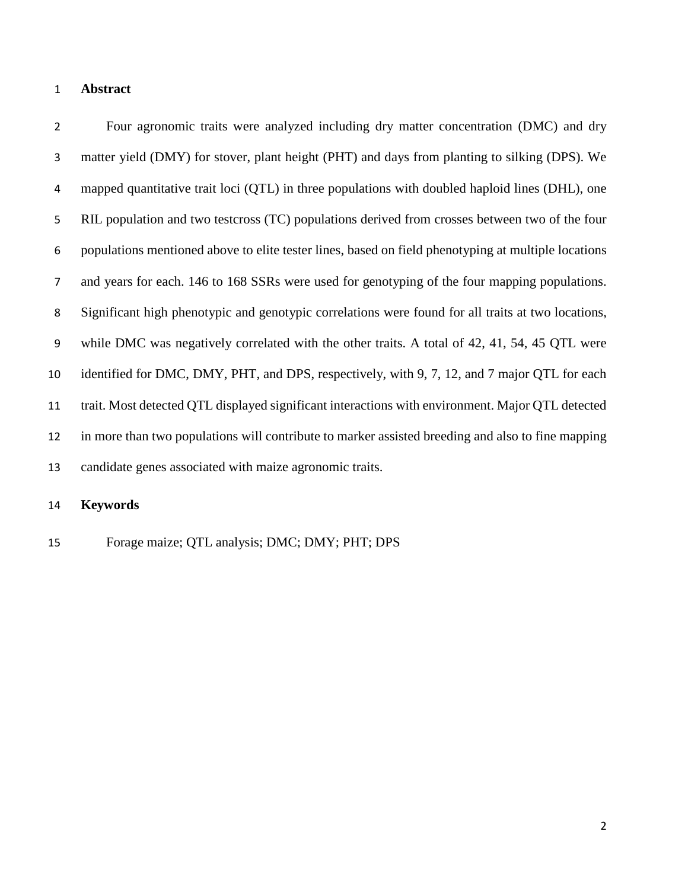#### **Abstract**

 Four agronomic traits were analyzed including dry matter concentration (DMC) and dry matter yield (DMY) for stover, plant height (PHT) and days from planting to silking (DPS). We mapped quantitative trait loci (QTL) in three populations with doubled haploid lines (DHL), one RIL population and two testcross (TC) populations derived from crosses between two of the four populations mentioned above to elite tester lines, based on field phenotyping at multiple locations and years for each. 146 to 168 SSRs were used for genotyping of the four mapping populations. Significant high phenotypic and genotypic correlations were found for all traits at two locations, while DMC was negatively correlated with the other traits. A total of 42, 41, 54, 45 QTL were 10 identified for DMC, DMY, PHT, and DPS, respectively, with 9, 7, 12, and 7 major QTL for each trait. Most detected QTL displayed significant interactions with environment. Major QTL detected in more than two populations will contribute to marker assisted breeding and also to fine mapping candidate genes associated with maize agronomic traits.

### **Keywords**

Forage maize; QTL analysis; DMC; DMY; PHT; DPS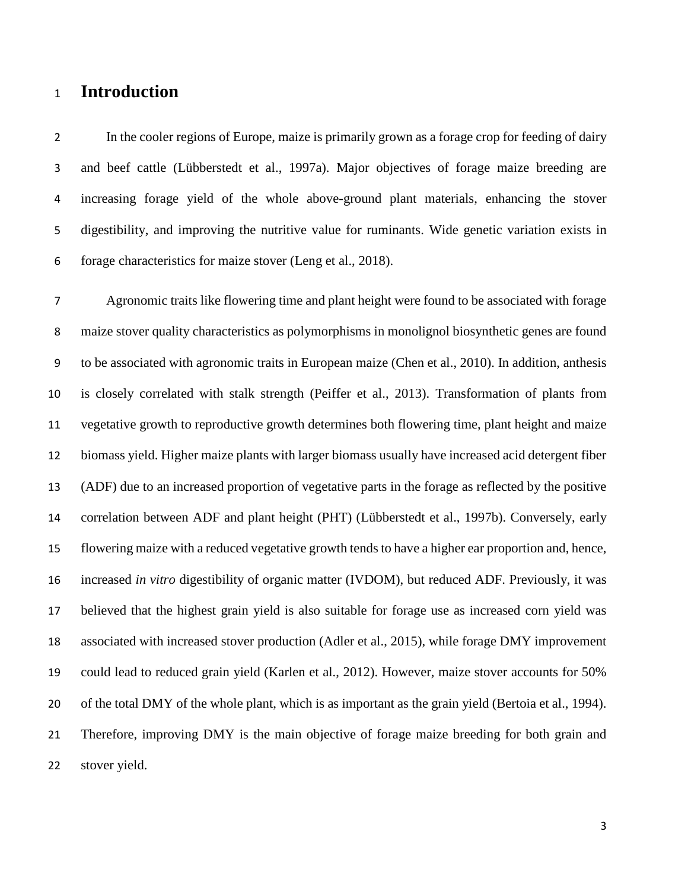# **Introduction**

 In the cooler regions of Europe, maize is primarily grown as a forage crop for feeding of dairy and beef cattle (Lübberstedt et al., 1997a). Major objectives of forage maize breeding are increasing forage yield of the whole above-ground plant materials, enhancing the stover digestibility, and improving the nutritive value for ruminants. Wide genetic variation exists in forage characteristics for maize stover (Leng et al., 2018).

 Agronomic traits like flowering time and plant height were found to be associated with forage maize stover quality characteristics as polymorphisms in monolignol biosynthetic genes are found to be associated with agronomic traits in European maize (Chen et al., 2010). In addition, anthesis is closely correlated with stalk strength (Peiffer et al., 2013). Transformation of plants from vegetative growth to reproductive growth determines both flowering time, plant height and maize biomass yield. Higher maize plants with larger biomass usually have increased acid detergent fiber (ADF) due to an increased proportion of vegetative parts in the forage as reflected by the positive correlation between ADF and plant height (PHT) (Lübberstedt et al., 1997b). Conversely, early flowering maize with a reduced vegetative growth tends to have a higher ear proportion and, hence, increased *in vitro* digestibility of organic matter (IVDOM), but reduced ADF. Previously, it was believed that the highest grain yield is also suitable for forage use as increased corn yield was associated with increased stover production (Adler et al., 2015), while forage DMY improvement could lead to reduced grain yield (Karlen et al., 2012). However, maize stover accounts for 50% of the total DMY of the whole plant, which is as important as the grain yield (Bertoia et al., 1994). Therefore, improving DMY is the main objective of forage maize breeding for both grain and stover yield.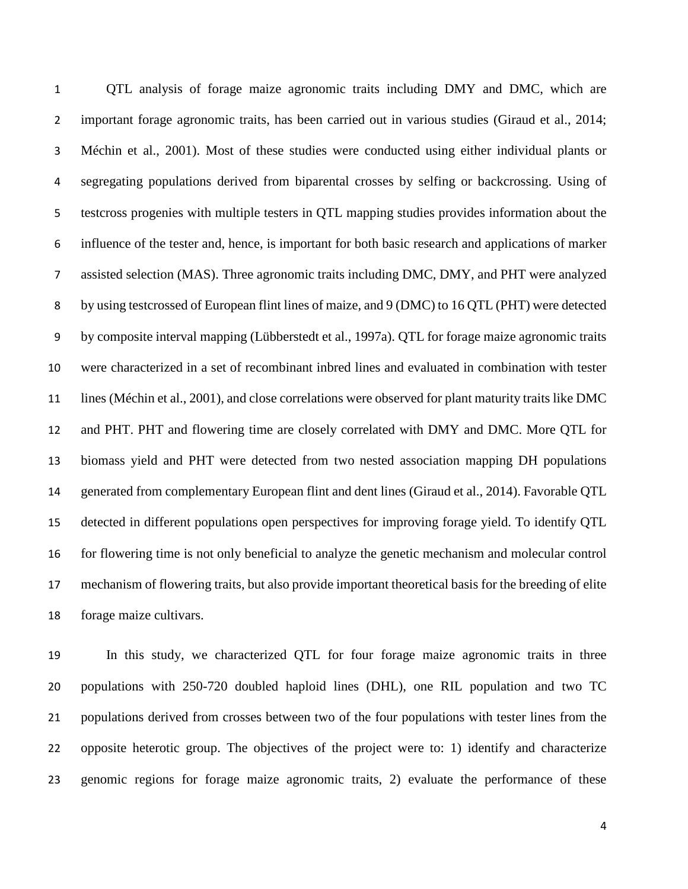QTL analysis of forage maize agronomic traits including DMY and DMC, which are important forage agronomic traits, has been carried out in various studies (Giraud et al., 2014; Méchin et al., 2001). Most of these studies were conducted using either individual plants or segregating populations derived from biparental crosses by selfing or backcrossing. Using of testcross progenies with multiple testers in QTL mapping studies provides information about the influence of the tester and, hence, is important for both basic research and applications of marker assisted selection (MAS). Three agronomic traits including DMC, DMY, and PHT were analyzed by using testcrossed of European flint lines of maize, and 9 (DMC) to 16 QTL (PHT) were detected by composite interval mapping (Lübberstedt et al., 1997a). QTL for forage maize agronomic traits were characterized in a set of recombinant inbred lines and evaluated in combination with tester lines (Méchin et al., 2001), and close correlations were observed for plant maturity traits like DMC and PHT. PHT and flowering time are closely correlated with DMY and DMC. More QTL for biomass yield and PHT were detected from two nested association mapping DH populations generated from complementary European flint and dent lines (Giraud et al., 2014). Favorable QTL detected in different populations open perspectives for improving forage yield. To identify QTL for flowering time is not only beneficial to analyze the genetic mechanism and molecular control mechanism of flowering traits, but also provide important theoretical basis for the breeding of elite forage maize cultivars.

 In this study, we characterized QTL for four forage maize agronomic traits in three populations with 250-720 doubled haploid lines (DHL), one RIL population and two TC populations derived from crosses between two of the four populations with tester lines from the opposite heterotic group. The objectives of the project were to: 1) identify and characterize genomic regions for forage maize agronomic traits, 2) evaluate the performance of these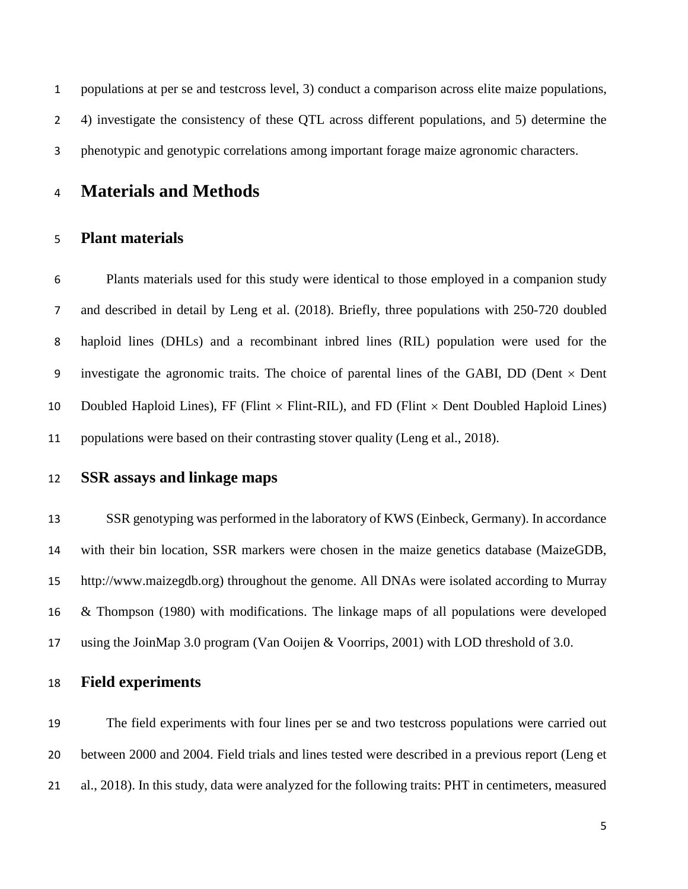populations at per se and testcross level, 3) conduct a comparison across elite maize populations, 4) investigate the consistency of these QTL across different populations, and 5) determine the phenotypic and genotypic correlations among important forage maize agronomic characters.

# **Materials and Methods**

### **Plant materials**

 Plants materials used for this study were identical to those employed in a companion study and described in detail by Leng et al. (2018). Briefly, three populations with 250-720 doubled haploid lines (DHLs) and a recombinant inbred lines (RIL) population were used for the 9 investigate the agronomic traits. The choice of parental lines of the GABI, DD (Dent  $\times$  Dent 10 Doubled Haploid Lines), FF (Flint  $\times$  Flint-RIL), and FD (Flint  $\times$  Dent Doubled Haploid Lines) populations were based on their contrasting stover quality (Leng et al., 2018).

**SSR assays and linkage maps**

 SSR genotyping was performed in the laboratory of KWS (Einbeck, Germany). In accordance with their bin location, SSR markers were chosen in the maize genetics database (MaizeGDB, http://www.maizegdb.org) throughout the genome. All DNAs were isolated according to Murray & Thompson (1980) with modifications. The linkage maps of all populations were developed using the JoinMap 3.0 program (Van Ooijen & Voorrips, 2001) with LOD threshold of 3.0.

## **Field experiments**

 The field experiments with four lines per se and two testcross populations were carried out between 2000 and 2004. Field trials and lines tested were described in a previous report (Leng et al., 2018). In this study, data were analyzed for the following traits: PHT in centimeters, measured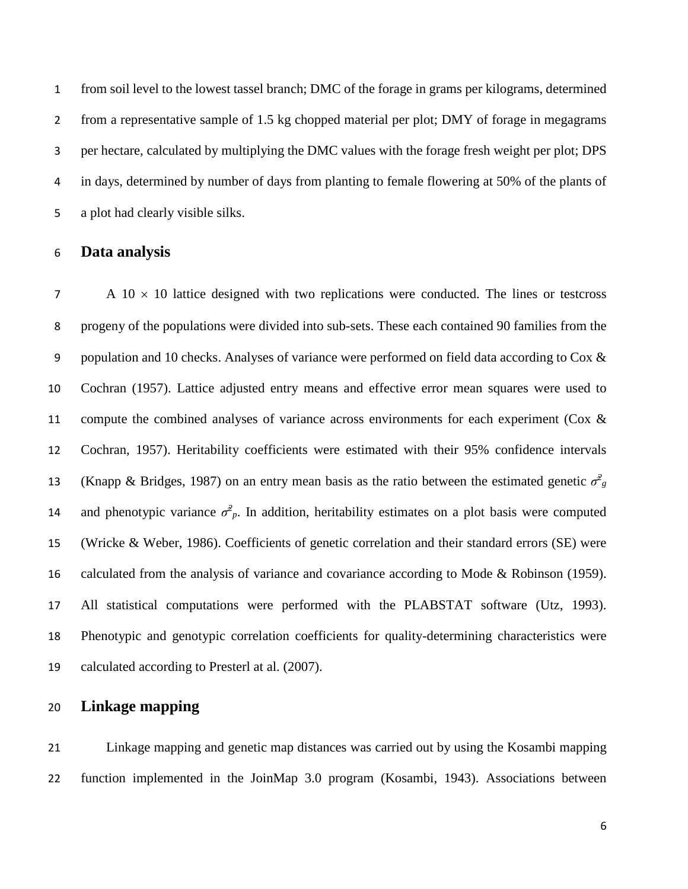from soil level to the lowest tassel branch; DMC of the forage in grams per kilograms, determined from a representative sample of 1.5 kg chopped material per plot; DMY of forage in megagrams per hectare, calculated by multiplying the DMC values with the forage fresh weight per plot; DPS in days, determined by number of days from planting to female flowering at 50% of the plants of a plot had clearly visible silks.

### **Data analysis**

 A 10  $\times$  10 lattice designed with two replications were conducted. The lines or testcross progeny of the populations were divided into sub-sets. These each contained 90 families from the 9 population and 10 checks. Analyses of variance were performed on field data according to Cox & Cochran (1957). Lattice adjusted entry means and effective error mean squares were used to 11 compute the combined analyses of variance across environments for each experiment (Cox & Cochran, 1957). Heritability coefficients were estimated with their 95% confidence intervals (Knapp & Bridges, 1987) on an entry mean basis as the ratio between the estimated genetic  $\sigma_{g}^{2}$ and phenotypic variance  $\sigma^2_p$ . In addition, heritability estimates on a plot basis were computed (Wricke & Weber, 1986). Coefficients of genetic correlation and their standard errors (SE) were 16 calculated from the analysis of variance and covariance according to Mode & Robinson (1959). All statistical computations were performed with the PLABSTAT software (Utz, 1993). Phenotypic and genotypic correlation coefficients for quality-determining characteristics were calculated according to Presterl at al. (2007).

## **Linkage mapping**

 Linkage mapping and genetic map distances was carried out by using the Kosambi mapping function implemented in the JoinMap 3.0 program (Kosambi, 1943). Associations between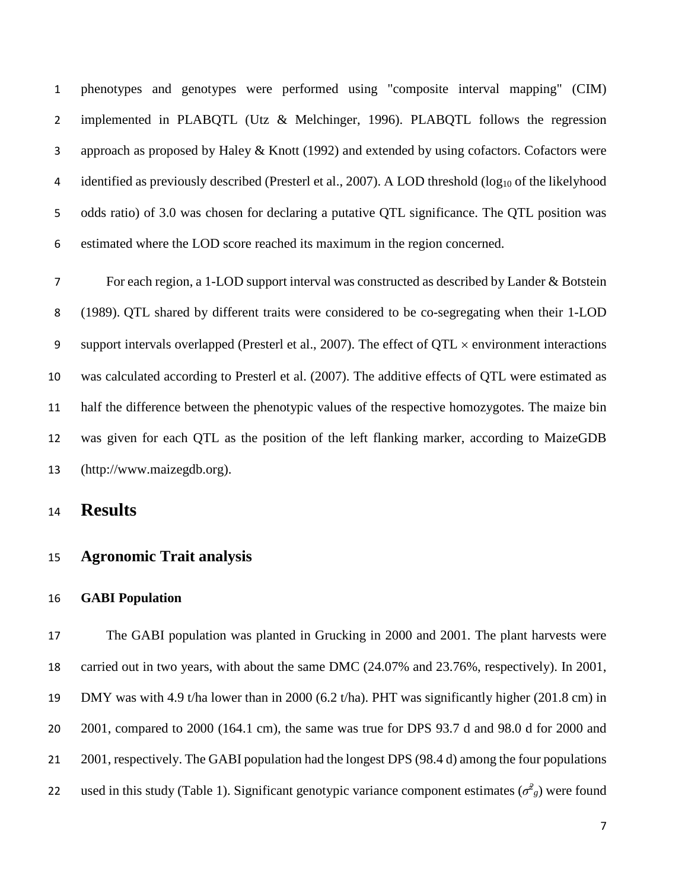phenotypes and genotypes were performed using "composite interval mapping" (CIM) 2 implemented in PLABQTL (Utz & Melchinger, 1996). PLABQTL follows the regression approach as proposed by Haley & Knott (1992) and extended by using cofactors. Cofactors were 4 identified as previously described (Presterl et al., 2007). A LOD threshold (log<sub>10</sub> of the likelyhood odds ratio) of 3.0 was chosen for declaring a putative QTL significance. The QTL position was estimated where the LOD score reached its maximum in the region concerned.

 For each region, a 1-LOD support interval was constructed as described by Lander & Botstein (1989). QTL shared by different traits were considered to be co-segregating when their 1-LOD 9 support intervals overlapped (Presterl et al., 2007). The effect of  $QTL \times$  environment interactions was calculated according to Presterl et al. (2007). The additive effects of QTL were estimated as half the difference between the phenotypic values of the respective homozygotes. The maize bin was given for each QTL as the position of the left flanking marker, according to MaizeGDB (http://www.maizegdb.org).

**Results**

### **Agronomic Trait analysis**

### **GABI Population**

 The GABI population was planted in Grucking in 2000 and 2001. The plant harvests were carried out in two years, with about the same DMC (24.07% and 23.76%, respectively). In 2001, DMY was with 4.9 t/ha lower than in 2000 (6.2 t/ha). PHT was significantly higher (201.8 cm) in 2001, compared to 2000 (164.1 cm), the same was true for DPS 93.7 d and 98.0 d for 2000 and 21 2001, respectively. The GABI population had the longest DPS (98.4 d) among the four populations 22 used in this study (Table 1). Significant genotypic variance component estimates  $(\sigma^2$ <sup>2</sup> were found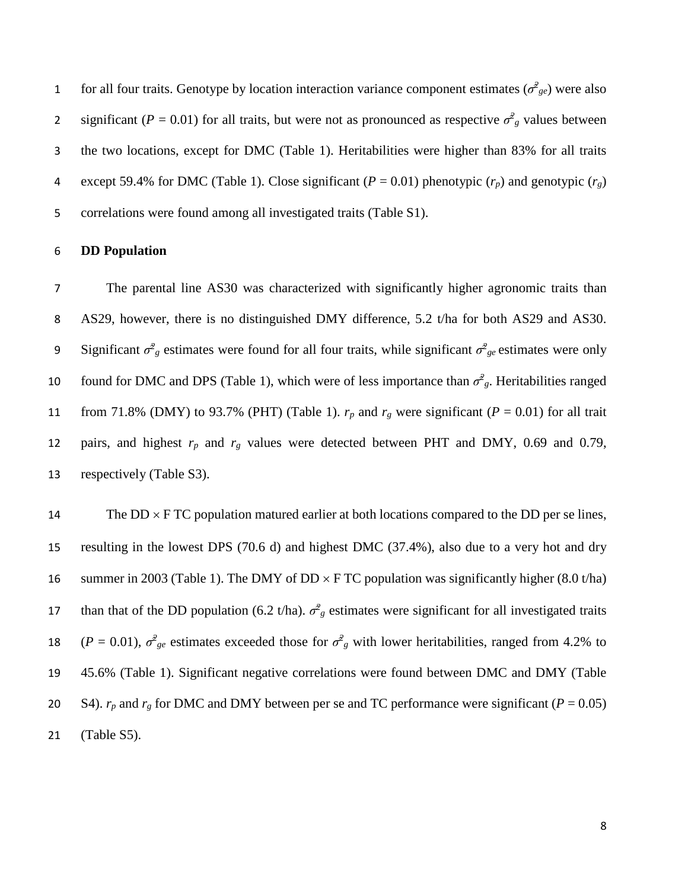for all four traits. Genotype by location interaction variance component estimates ( $\sigma^2_{ge}$ ) were also significant ( $P = 0.01$ ) for all traits, but were not as pronounced as respective  $\sigma^2$ <sup>*z*</sup> values between 3 the two locations, except for DMC (Table 1). Heritabilities were higher than 83% for all traits 4 except 59.4% for DMC (Table 1). Close significant ( $P = 0.01$ ) phenotypic ( $r_p$ ) and genotypic ( $r_g$ ) 5 correlations were found among all investigated traits (Table S1).

#### 6 **DD Population**

7 The parental line AS30 was characterized with significantly higher agronomic traits than 8 AS29, however, there is no distinguished DMY difference, 5.2 t/ha for both AS29 and AS30. Significant  $\sigma^2$ <sub>g</sub> estimates were found for all four traits, while significant  $\sigma^2$ <sub>ge</sub> estimates were only found for DMC and DPS (Table 1), which were of less importance than  $\sigma^2$ <sub>*g*</sub>. Heritabilities ranged 11 from 71.8% (DMY) to 93.7% (PHT) (Table 1).  $r_p$  and  $r_g$  were significant ( $P = 0.01$ ) for all trait 12 pairs, and highest *rp* and *rg* values were detected between PHT and DMY, 0.69 and 0.79, 13 respectively (Table S3).

14 The  $DD \times FTC$  population matured earlier at both locations compared to the DD per se lines, 15 resulting in the lowest DPS (70.6 d) and highest DMC (37.4%), also due to a very hot and dry 16 summer in 2003 (Table 1). The DMY of DD  $\times$  F TC population was significantly higher (8.0 t/ha) than that of the DD population (6.2 t/ha).  $\sigma^2$ <sup>2</sup> estimates were significant for all investigated traits 18 (*P* = 0.01),  $\sigma_{ge}^2$  estimates exceeded those for  $\sigma_{ge}^2$  with lower heritabilities, ranged from 4.2% to 19 45.6% (Table 1). Significant negative correlations were found between DMC and DMY (Table 20 S4).  $r_p$  and  $r_g$  for DMC and DMY between per se and TC performance were significant ( $P = 0.05$ ) 21 (Table S5).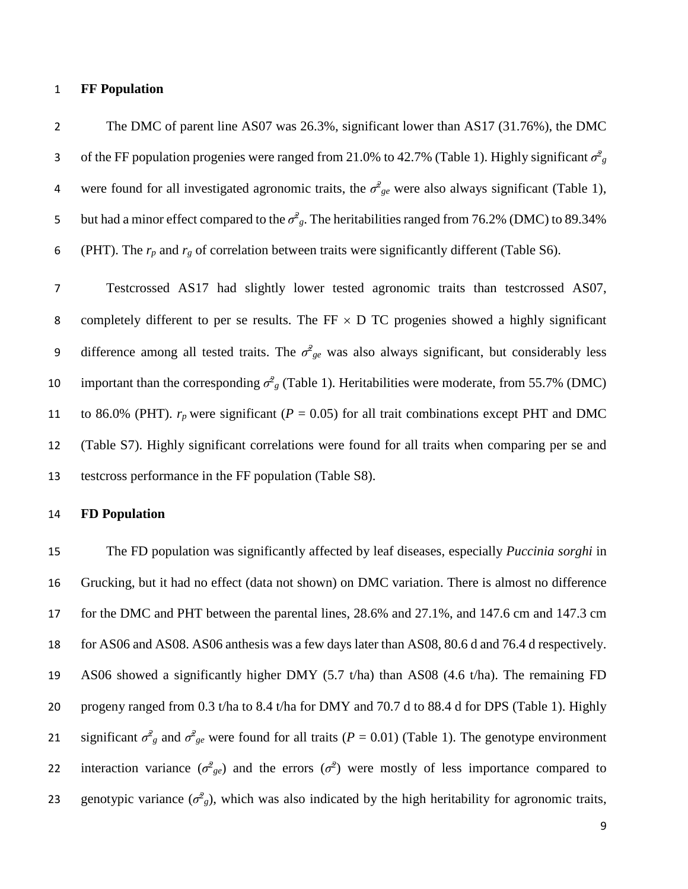#### 1 **FF Population**

2 The DMC of parent line AS07 was 26.3%, significant lower than AS17 (31.76%), the DMC of the FF population progenies were ranged from 21.0% to 42.7% (Table 1). Highly significant  $\sigma^2$ <sup>2</sup> were found for all investigated agronomic traits, the  $\sigma_{ge}^2$  were also always significant (Table 1), 5 but had a minor effect compared to the  $\sigma^2$ <sub>g</sub>. The heritabilities ranged from 76.2% (DMC) to 89.34% 6 (PHT). The  $r_p$  and  $r_g$  of correlation between traits were significantly different (Table S6).

7 Testcrossed AS17 had slightly lower tested agronomic traits than testcrossed AS07, 8 completely different to per se results. The FF  $\times$  D TC progenies showed a highly significant difference among all tested traits. The  $\sigma_{ge}^2$  was also always significant, but considerably less important than the corresponding  $\sigma^2$ <sup>2</sup> (Table 1). Heritabilities were moderate, from 55.7% (DMC) 11 to 86.0% (PHT).  $r_p$  were significant ( $P = 0.05$ ) for all trait combinations except PHT and DMC 12 (Table S7). Highly significant correlations were found for all traits when comparing per se and 13 testcross performance in the FF population (Table S8).

### 14 **FD Population**

 The FD population was significantly affected by leaf diseases, especially *Puccinia sorghi* in Grucking, but it had no effect (data not shown) on DMC variation. There is almost no difference for the DMC and PHT between the parental lines, 28.6% and 27.1%, and 147.6 cm and 147.3 cm for AS06 and AS08. AS06 anthesis was a few days later than AS08, 80.6 d and 76.4 d respectively. AS06 showed a significantly higher DMY (5.7 t/ha) than AS08 (4.6 t/ha). The remaining FD progeny ranged from 0.3 t/ha to 8.4 t/ha for DMY and 70.7 d to 88.4 d for DPS (Table 1). Highly 21 significant  $\sigma^2$ <sub>g</sub> and  $\sigma^2$ <sub>ge</sub> were found for all traits (*P* = 0.01) (Table 1). The genotype environment 22 interaction variance  $(\sigma^2_{ge})$  and the errors  $(\sigma^2)$  were mostly of less importance compared to 23 genotypic variance  $(\sigma^2 g)$ , which was also indicated by the high heritability for agronomic traits,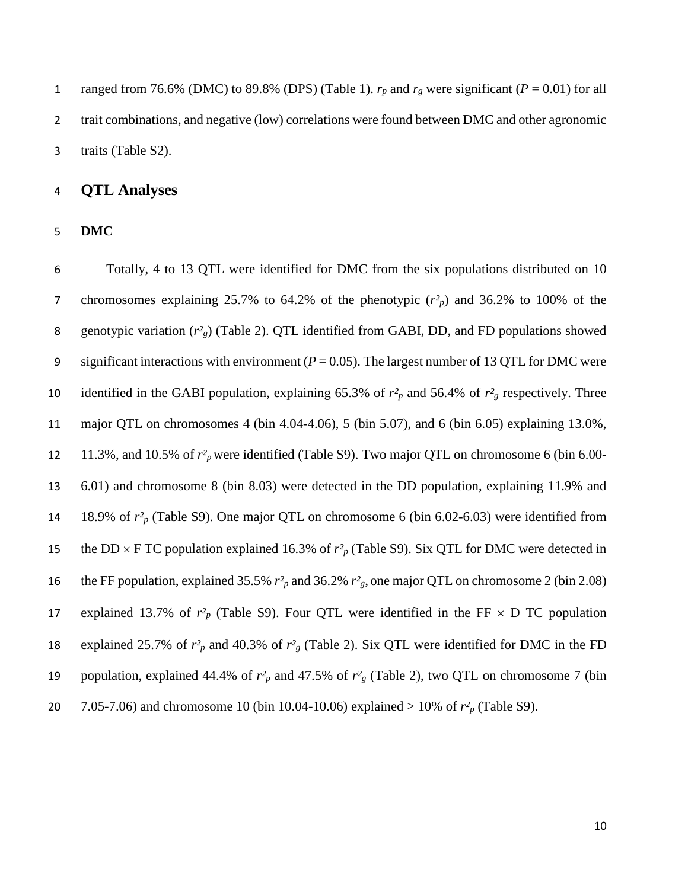1 ranged from 76.6% (DMC) to 89.8% (DPS) (Table 1).  $r_p$  and  $r_g$  were significant ( $P = 0.01$ ) for all 2 trait combinations, and negative (low) correlations were found between DMC and other agronomic traits (Table S2).

### **QTL Analyses**

**DMC**

 Totally, 4 to 13 QTL were identified for DMC from the six populations distributed on 10 chromosomes explaining 25.7% to 64.2% of the phenotypic (*r²p*) and 36.2% to 100% of the genotypic variation (*r²g*) (Table 2). QTL identified from GABI, DD, and FD populations showed significant interactions with environment (*P* = 0.05). The largest number of 13 QTL for DMC were 10 identified in the GABI population, explaining 65.3% of  $r^2$ <sub>p</sub> and 56.4% of  $r^2$ <sub>g</sub> respectively. Three major QTL on chromosomes 4 (bin 4.04-4.06), 5 (bin 5.07), and 6 (bin 6.05) explaining 13.0%, 11.3%, and 10.5% of *r²p* were identified (Table S9). Two major QTL on chromosome 6 (bin 6.00- 6.01) and chromosome 8 (bin 8.03) were detected in the DD population, explaining 11.9% and 18.9% of *r²p* (Table S9). One major QTL on chromosome 6 (bin 6.02-6.03) were identified from 15 the DD  $\times$  F TC population explained 16.3% of  $r^2$ <sub>p</sub> (Table S9). Six QTL for DMC were detected in the FF population, explained 35.5% *r²p* and 36.2% *r²g*, one major QTL on chromosome 2 (bin 2.08) 17 explained 13.7% of  $r^2$ <sub>p</sub> (Table S9). Four QTL were identified in the FF  $\times$  D TC population 18 explained 25.7% of  $r^2$ <sub>p</sub> and 40.3% of  $r^2$ <sub>g</sub> (Table 2). Six QTL were identified for DMC in the FD population, explained 44.4% of *r²p* and 47.5% of *r²g* (Table 2), two QTL on chromosome 7 (bin 7.05-7.06) and chromosome 10 (bin 10.04-10.06) explained > 10% of *r²p* (Table S9).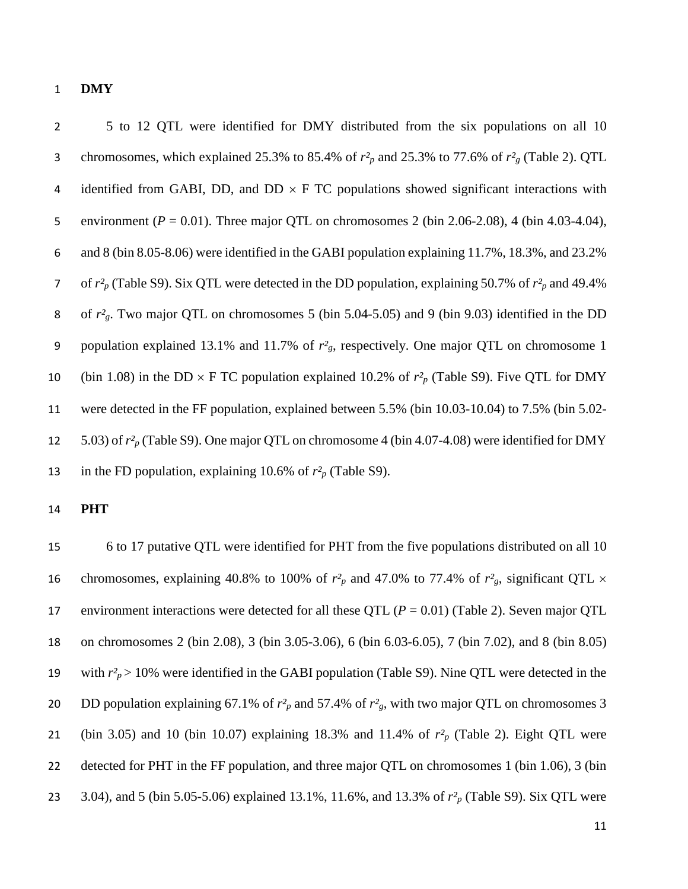#### **DMY**

 5 to 12 QTL were identified for DMY distributed from the six populations on all 10 chromosomes, which explained 25.3% to 85.4% of *r²p* and 25.3% to 77.6% of *r²g* (Table 2). QTL 4 identified from GABI, DD, and DD  $\times$  F TC populations showed significant interactions with environment (*P* = 0.01). Three major QTL on chromosomes 2 (bin 2.06-2.08), 4 (bin 4.03-4.04), and 8 (bin 8.05-8.06) were identified in the GABI population explaining 11.7%, 18.3%, and 23.2% of *r²p* (Table S9). Six QTL were detected in the DD population, explaining 50.7% of *r²p* and 49.4% of *r²g*. Two major QTL on chromosomes 5 (bin 5.04-5.05) and 9 (bin 9.03) identified in the DD 9 population explained 13.1% and 11.7% of  $r<sup>2</sup><sub>g</sub>$ , respectively. One major QTL on chromosome 1 10 (bin 1.08) in the DD  $\times$  F TC population explained 10.2% of  $r^2$ <sub>p</sub> (Table S9). Five QTL for DMY were detected in the FF population, explained between 5.5% (bin 10.03-10.04) to 7.5% (bin 5.02- 5.03) of *r²p* (Table S9). One major QTL on chromosome 4 (bin 4.07-4.08) were identified for DMY 13 in the FD population, explaining 10.6% of  $r^2$ <sup>p</sup> (Table S9).

### **PHT**

 6 to 17 putative QTL were identified for PHT from the five populations distributed on all 10 16 chromosomes, explaining 40.8% to 100% of  $r^2$ <sub>p</sub> and 47.0% to 77.4% of  $r^2$ <sub>g</sub>, significant QTL  $\times$ 17 environment interactions were detected for all these QTL  $(P = 0.01)$  (Table 2). Seven major QTL on chromosomes 2 (bin 2.08), 3 (bin 3.05-3.06), 6 (bin 6.03-6.05), 7 (bin 7.02), and 8 (bin 8.05) 19 with  $r_p^2 > 10\%$  were identified in the GABI population (Table S9). Nine QTL were detected in the DD population explaining 67.1% of *r²p* and 57.4% of *r²g*, with two major QTL on chromosomes 3 (bin 3.05) and 10 (bin 10.07) explaining 18.3% and 11.4% of *r²p* (Table 2). Eight QTL were detected for PHT in the FF population, and three major QTL on chromosomes 1 (bin 1.06), 3 (bin 3.04), and 5 (bin 5.05-5.06) explained 13.1%, 11.6%, and 13.3% of *r²p* (Table S9). Six QTL were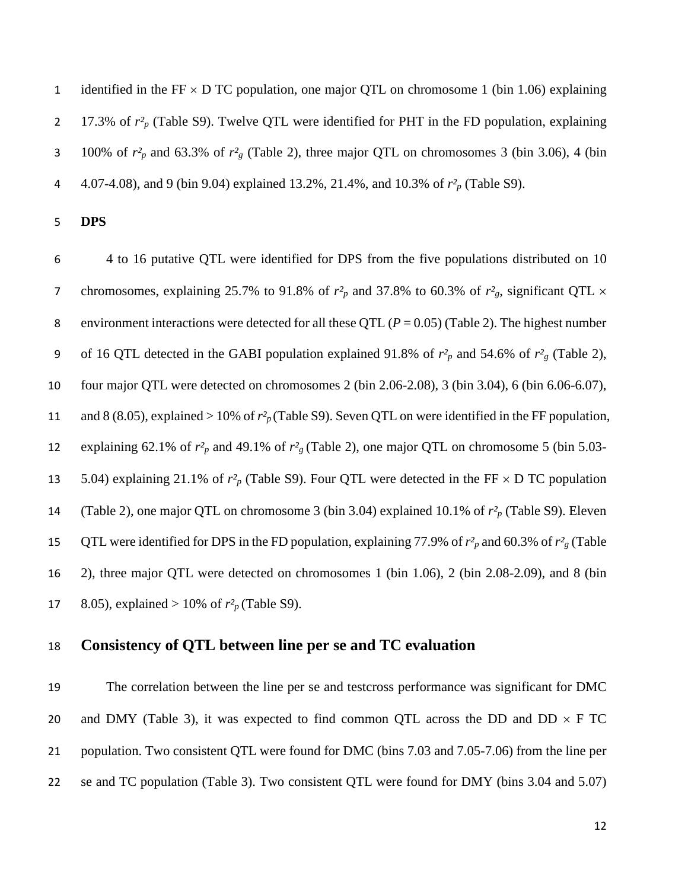1 identified in the FF  $\times$  D TC population, one major QTL on chromosome 1 (bin 1.06) explaining 17.3% of *r²p* (Table S9). Twelve QTL were identified for PHT in the FD population, explaining 3 100% of  $r^2$ <sub>p</sub> and 63.3% of  $r^2$ <sub>g</sub> (Table 2), three major QTL on chromosomes 3 (bin 3.06), 4 (bin 4.07-4.08), and 9 (bin 9.04) explained 13.2%, 21.4%, and 10.3% of *r²p* (Table S9).

**DPS**

 4 to 16 putative QTL were identified for DPS from the five populations distributed on 10 7 chromosomes, explaining 25.7% to 91.8% of  $r^2$ <sub>p</sub> and 37.8% to 60.3% of  $r^2$ <sub>g</sub>, significant QTL  $\times$ 8 environment interactions were detected for all these QTL  $(P = 0.05)$  (Table 2). The highest number 9 of 16 QTL detected in the GABI population explained 91.8% of  $r^2$ <sub>p</sub> and 54.6% of  $r^2$ <sub>g</sub> (Table 2), four major QTL were detected on chromosomes 2 (bin 2.06-2.08), 3 (bin 3.04), 6 (bin 6.06-6.07), and 8 (8.05), explained > 10% of *r²p* (Table S9). Seven QTL on were identified in the FF population, explaining 62.1% of *r²p* and 49.1% of *r²g* (Table 2), one major QTL on chromosome 5 (bin 5.03- 13 5.04) explaining 21.1% of  $r^2$ <sub>*p*</sub> (Table S9). Four QTL were detected in the FF  $\times$  D TC population (Table 2), one major QTL on chromosome 3 (bin 3.04) explained 10.1% of *r²p* (Table S9). Eleven QTL were identified for DPS in the FD population, explaining 77.9% of *r²p* and 60.3% of *r²g* (Table 2), three major QTL were detected on chromosomes 1 (bin 1.06), 2 (bin 2.08-2.09), and 8 (bin 17 8.05), explained > 10% of  $r^2$ <sub>*p*</sub> (Table S9).

## **Consistency of QTL between line per se and TC evaluation**

 The correlation between the line per se and testcross performance was significant for DMC 20 and DMY (Table 3), it was expected to find common QTL across the DD and DD  $\times$  F TC population. Two consistent QTL were found for DMC (bins 7.03 and 7.05-7.06) from the line per se and TC population (Table 3). Two consistent QTL were found for DMY (bins 3.04 and 5.07)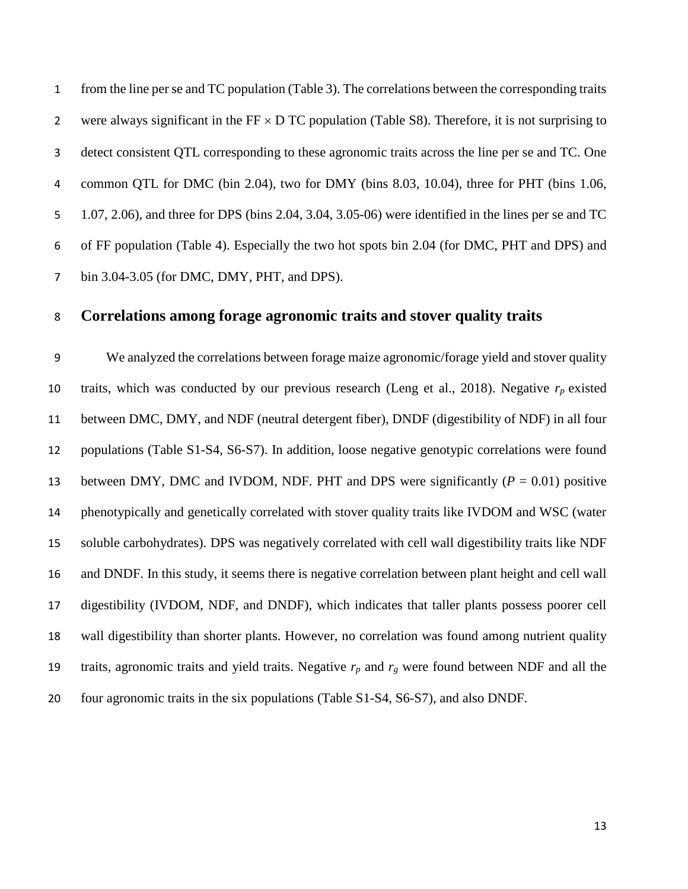from the line per se and TC population (Table 3). The correlations between the corresponding traits 2 were always significant in the  $FF \times D TC$  population (Table S8). Therefore, it is not surprising to detect consistent QTL corresponding to these agronomic traits across the line per se and TC. One common QTL for DMC (bin 2.04), two for DMY (bins 8.03, 10.04), three for PHT (bins 1.06, 1.07, 2.06), and three for DPS (bins 2.04, 3.04, 3.05-06) were identified in the lines per se and TC of FF population (Table 4). Especially the two hot spots bin 2.04 (for DMC, PHT and DPS) and bin 3.04-3.05 (for DMC, DMY, PHT, and DPS).

## **Correlations among forage agronomic traits and stover quality traits**

 We analyzed the correlations between forage maize agronomic/forage yield and stover quality 10 traits, which was conducted by our previous research (Leng et al., 2018). Negative  $r_p$  existed between DMC, DMY, and NDF (neutral detergent fiber), DNDF (digestibility of NDF) in all four populations (Table S1-S4, S6-S7). In addition, loose negative genotypic correlations were found 13 between DMY, DMC and IVDOM, NDF. PHT and DPS were significantly  $(P = 0.01)$  positive phenotypically and genetically correlated with stover quality traits like IVDOM and WSC (water soluble carbohydrates). DPS was negatively correlated with cell wall digestibility traits like NDF and DNDF. In this study, it seems there is negative correlation between plant height and cell wall digestibility (IVDOM, NDF, and DNDF), which indicates that taller plants possess poorer cell wall digestibility than shorter plants. However, no correlation was found among nutrient quality 19 traits, agronomic traits and yield traits. Negative  $r_p$  and  $r_g$  were found between NDF and all the four agronomic traits in the six populations (Table S1-S4, S6-S7), and also DNDF.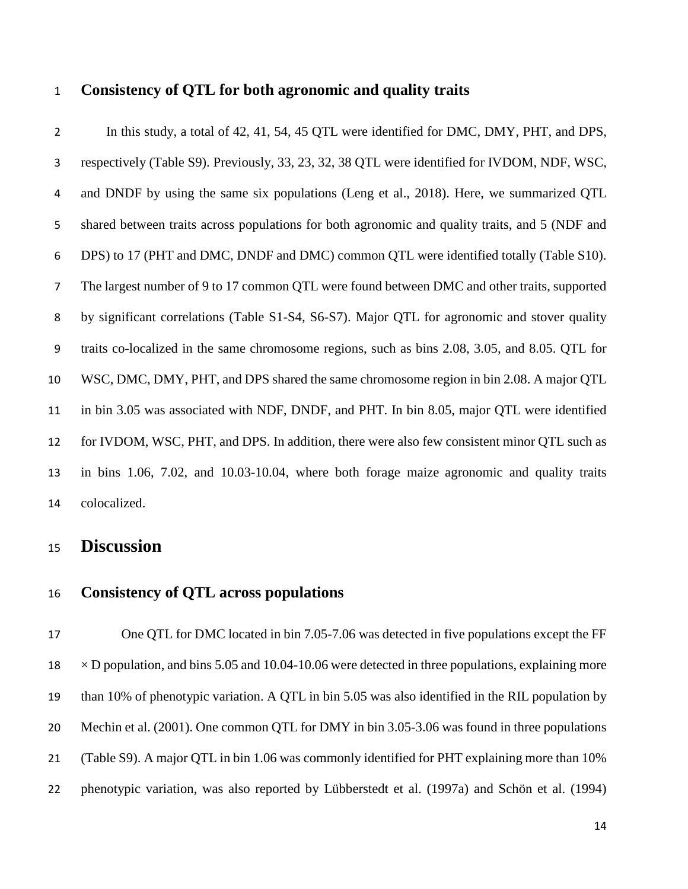## **Consistency of QTL for both agronomic and quality traits**

 In this study, a total of 42, 41, 54, 45 QTL were identified for DMC, DMY, PHT, and DPS, respectively (Table S9). Previously, 33, 23, 32, 38 QTL were identified for IVDOM, NDF, WSC, and DNDF by using the same six populations (Leng et al., 2018). Here, we summarized QTL shared between traits across populations for both agronomic and quality traits, and 5 (NDF and DPS) to 17 (PHT and DMC, DNDF and DMC) common QTL were identified totally (Table S10). The largest number of 9 to 17 common QTL were found between DMC and other traits, supported by significant correlations (Table S1-S4, S6-S7). Major QTL for agronomic and stover quality traits co-localized in the same chromosome regions, such as bins 2.08, 3.05, and 8.05. QTL for WSC, DMC, DMY, PHT, and DPS shared the same chromosome region in bin 2.08. A major QTL in bin 3.05 was associated with NDF, DNDF, and PHT. In bin 8.05, major QTL were identified for IVDOM, WSC, PHT, and DPS. In addition, there were also few consistent minor QTL such as in bins 1.06, 7.02, and 10.03-10.04, where both forage maize agronomic and quality traits colocalized.

# **Discussion**

### **Consistency of QTL across populations**

 One QTL for DMC located in bin 7.05-7.06 was detected in five populations except the FF  $18 \times D$  population, and bins 5.05 and 10.04-10.06 were detected in three populations, explaining more than 10% of phenotypic variation. A QTL in bin 5.05 was also identified in the RIL population by Mechin et al. (2001). One common QTL for DMY in bin 3.05-3.06 was found in three populations (Table S9). A major QTL in bin 1.06 was commonly identified for PHT explaining more than 10% phenotypic variation, was also reported by Lübberstedt et al. (1997a) and Schön et al. (1994)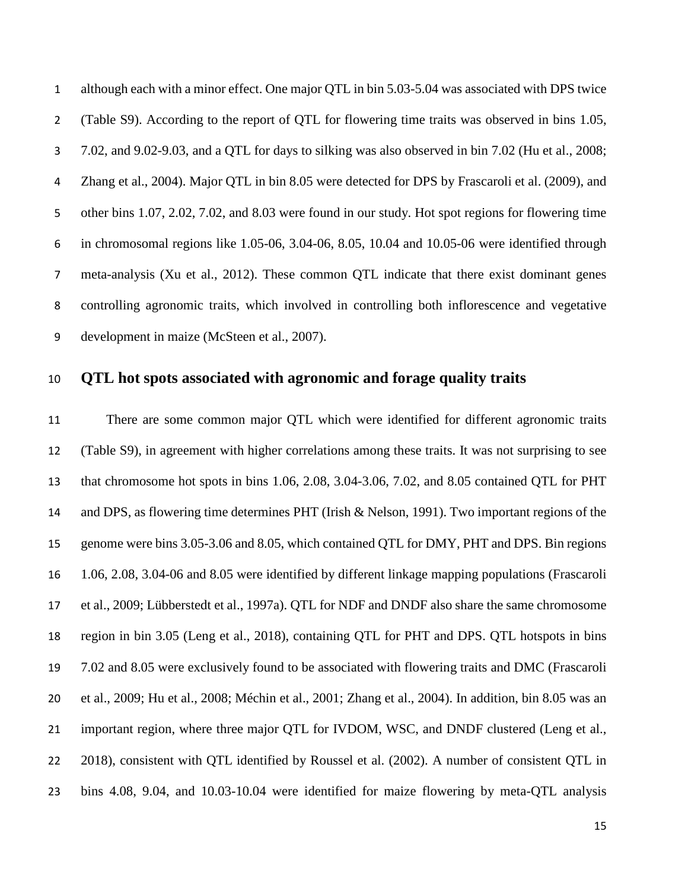although each with a minor effect. One major QTL in bin 5.03-5.04 was associated with DPS twice (Table S9). According to the report of QTL for flowering time traits was observed in bins 1.05, 7.02, and 9.02-9.03, and a QTL for days to silking was also observed in bin 7.02 (Hu et al., 2008; Zhang et al., 2004). Major QTL in bin 8.05 were detected for DPS by Frascaroli et al. (2009), and other bins 1.07, 2.02, 7.02, and 8.03 were found in our study. Hot spot regions for flowering time in chromosomal regions like 1.05-06, 3.04-06, 8.05, 10.04 and 10.05-06 were identified through meta-analysis (Xu et al., 2012). These common QTL indicate that there exist dominant genes controlling agronomic traits, which involved in controlling both inflorescence and vegetative development in maize (McSteen et al., 2007).

## **QTL hot spots associated with agronomic and forage quality traits**

 There are some common major QTL which were identified for different agronomic traits (Table S9), in agreement with higher correlations among these traits. It was not surprising to see that chromosome hot spots in bins 1.06, 2.08, 3.04-3.06, 7.02, and 8.05 contained QTL for PHT and DPS, as flowering time determines PHT (Irish & Nelson, 1991). Two important regions of the genome were bins 3.05-3.06 and 8.05, which contained QTL for DMY, PHT and DPS. Bin regions 1.06, 2.08, 3.04-06 and 8.05 were identified by different linkage mapping populations (Frascaroli et al., 2009; Lübberstedt et al., 1997a). QTL for NDF and DNDF also share the same chromosome region in bin 3.05 (Leng et al., 2018), containing QTL for PHT and DPS. QTL hotspots in bins 7.02 and 8.05 were exclusively found to be associated with flowering traits and DMC (Frascaroli et al., 2009; Hu et al., 2008; Méchin et al., 2001; Zhang et al., 2004). In addition, bin 8.05 was an 21 important region, where three major QTL for IVDOM, WSC, and DNDF clustered (Leng et al., 2018), consistent with QTL identified by Roussel et al. (2002). A number of consistent QTL in bins 4.08, 9.04, and 10.03-10.04 were identified for maize flowering by meta-QTL analysis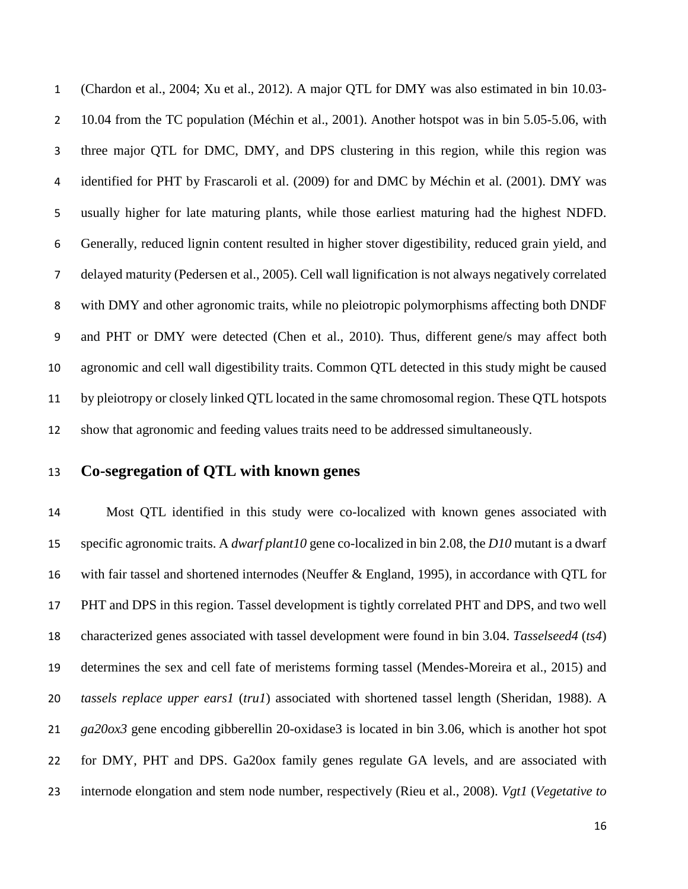(Chardon et al., 2004; Xu et al., 2012). A major QTL for DMY was also estimated in bin 10.03- 2 10.04 from the TC population (Méchin et al., 2001). Another hotspot was in bin 5.05-5.06, with three major QTL for DMC, DMY, and DPS clustering in this region, while this region was identified for PHT by Frascaroli et al. (2009) for and DMC by Méchin et al. (2001). DMY was usually higher for late maturing plants, while those earliest maturing had the highest NDFD. Generally, reduced lignin content resulted in higher stover digestibility, reduced grain yield, and delayed maturity (Pedersen et al., 2005). Cell wall lignification is not always negatively correlated with DMY and other agronomic traits, while no pleiotropic polymorphisms affecting both DNDF and PHT or DMY were detected (Chen et al., 2010). Thus, different gene/s may affect both agronomic and cell wall digestibility traits. Common QTL detected in this study might be caused by pleiotropy or closely linked QTL located in the same chromosomal region. These QTL hotspots show that agronomic and feeding values traits need to be addressed simultaneously.

## **Co-segregation of QTL with known genes**

 Most QTL identified in this study were co-localized with known genes associated with specific agronomic traits. A *dwarf plant10* gene co-localized in bin 2.08, the *D10* mutant is a dwarf with fair tassel and shortened internodes (Neuffer & England, 1995), in accordance with QTL for PHT and DPS in this region. Tassel development is tightly correlated PHT and DPS, and two well characterized genes associated with tassel development were found in bin 3.04. *Tasselseed4* (*ts4*) determines the sex and cell fate of meristems forming tassel (Mendes-Moreira et al., 2015) and *tassels replace upper ears1* (*tru1*) associated with shortened tassel length (Sheridan, 1988). A *ga20ox3* gene encoding gibberellin 20-oxidase3 is located in bin 3.06, which is another hot spot for DMY, PHT and DPS. Ga20ox family genes regulate GA levels, and are associated with internode elongation and stem node number, respectively (Rieu et al., 2008). *Vgt1* (*Vegetative to*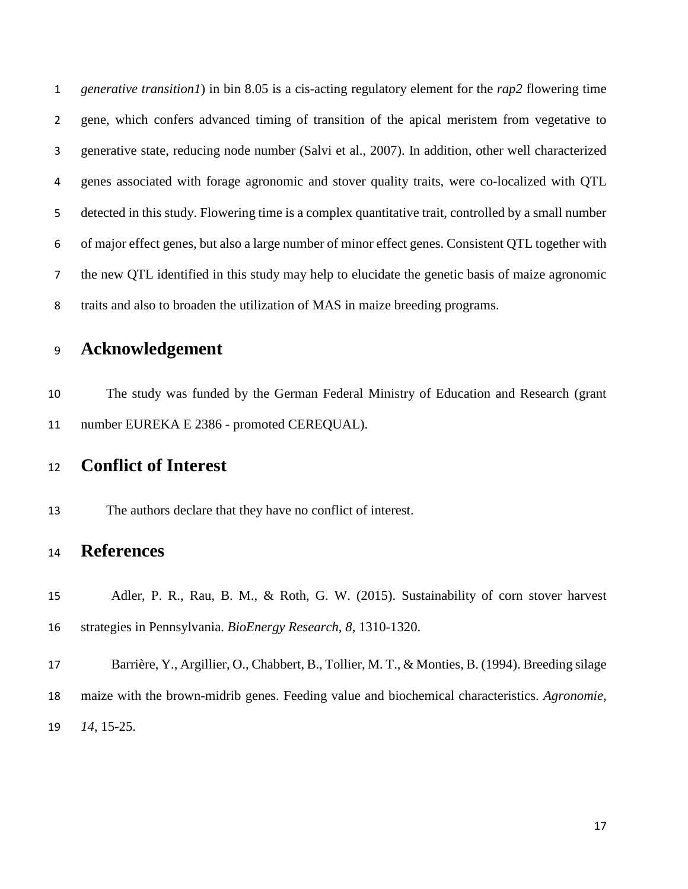*generative transition1*) in bin 8.05 is a cis-acting regulatory element for the *rap2* flowering time gene, which confers advanced timing of transition of the apical meristem from vegetative to generative state, reducing node number (Salvi et al., 2007). In addition, other well characterized genes associated with forage agronomic and stover quality traits, were co-localized with QTL detected in this study. Flowering time is a complex quantitative trait, controlled by a small number of major effect genes, but also a large number of minor effect genes. Consistent QTL together with the new QTL identified in this study may help to elucidate the genetic basis of maize agronomic traits and also to broaden the utilization of MAS in maize breeding programs.

# **Acknowledgement**

 The study was funded by the German Federal Ministry of Education and Research (grant number EUREKA E 2386 - promoted CEREQUAL).

# **Conflict of Interest**

The authors declare that they have no conflict of interest.

# **References**

 Adler, P. R., Rau, B. M., & Roth, G. W. (2015). Sustainability of corn stover harvest strategies in Pennsylvania. *BioEnergy Research*, *8*, 1310-1320.

 Barrière, Y., Argillier, O., Chabbert, B., Tollier, M. T., & Monties, B. (1994). Breeding silage maize with the brown-midrib genes. Feeding value and biochemical characteristics. *Agronomie*, *14*, 15-25.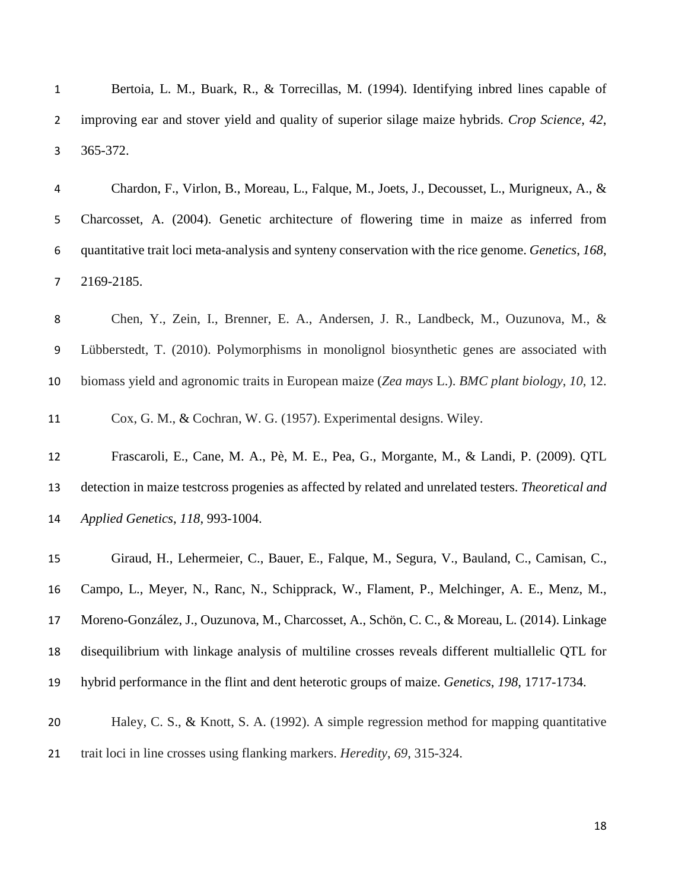Bertoia, L. M., Buark, R., & Torrecillas, M. (1994). Identifying inbred lines capable of improving ear and stover yield and quality of superior silage maize hybrids. *Crop Science*, *42*, 365-372. Chardon, F., Virlon, B., Moreau, L., Falque, M., Joets, J., Decousset, L., Murigneux, A., & Charcosset, A. (2004). Genetic architecture of flowering time in maize as inferred from quantitative trait loci meta-analysis and synteny conservation with the rice genome. *Genetics*, *168*, 2169-2185. Chen, Y., Zein, I., Brenner, E. A., Andersen, J. R., Landbeck, M., Ouzunova, M., & Lübberstedt, T. (2010). Polymorphisms in monolignol biosynthetic genes are associated with biomass yield and agronomic traits in European maize (*Zea mays* L.). *BMC plant biology*, *10*, 12. Cox, G. M., & Cochran, W. G. (1957). Experimental designs. Wiley. Frascaroli, E., Cane, M. A., Pè, M. E., Pea, G., Morgante, M., & Landi, P. (2009). QTL detection in maize testcross progenies as affected by related and unrelated testers. *Theoretical and* 

*Applied Genetics*, *118*, 993-1004.

 Giraud, H., Lehermeier, C., Bauer, E., Falque, M., Segura, V., Bauland, C., Camisan, C., Campo, L., Meyer, N., Ranc, N., Schipprack, W., Flament, P., Melchinger, A. E., Menz, M., Moreno-González, J., Ouzunova, M., Charcosset, A., Schön, C. C., & Moreau, L. (2014). Linkage disequilibrium with linkage analysis of multiline crosses reveals different multiallelic QTL for hybrid performance in the flint and dent heterotic groups of maize. *Genetics*, *198*, 1717-1734.

 Haley, C. S., & Knott, S. A. (1992). A simple regression method for mapping quantitative trait loci in line crosses using flanking markers. *Heredity*, *69*, 315-324.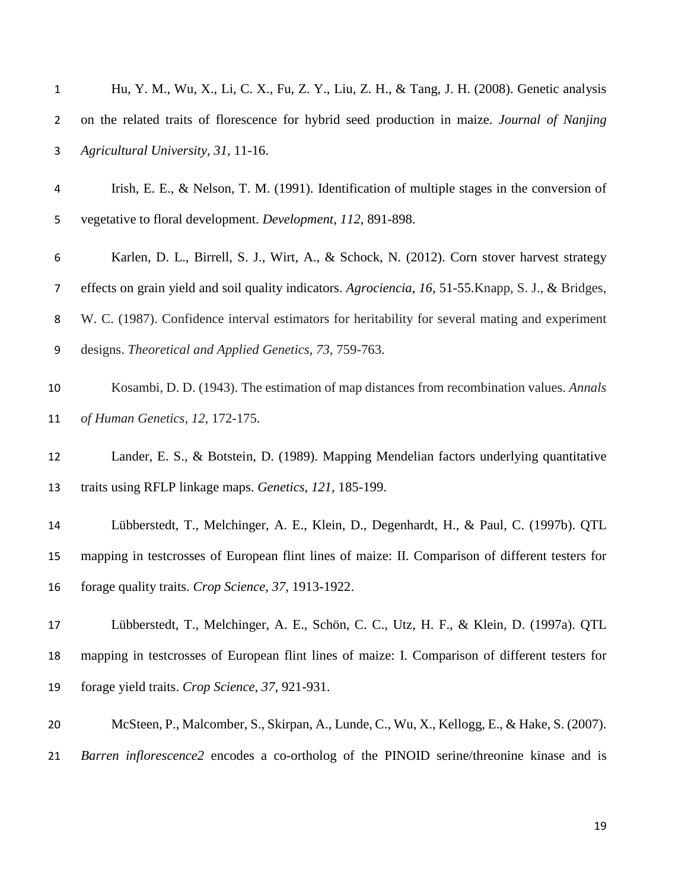| $\mathbf{1}$   | Hu, Y. M., Wu, X., Li, C. X., Fu, Z. Y., Liu, Z. H., & Tang, J. H. (2008). Genetic analysis          |
|----------------|------------------------------------------------------------------------------------------------------|
| $\overline{2}$ | on the related traits of florescence for hybrid seed production in maize. Journal of Nanjing         |
| 3              | Agricultural University, 31, 11-16.                                                                  |
| 4              | Irish, E. E., & Nelson, T. M. (1991). Identification of multiple stages in the conversion of         |
| 5              | vegetative to floral development. Development, 112, 891-898.                                         |
| 6              | Karlen, D. L., Birrell, S. J., Wirt, A., & Schock, N. (2012). Corn stover harvest strategy           |
| 7              | effects on grain yield and soil quality indicators. Agrociencia, 16, 51-55. Knapp, S. J., & Bridges, |
| 8              | W. C. (1987). Confidence interval estimators for heritability for several mating and experiment      |
| 9              | designs. Theoretical and Applied Genetics, 73, 759-763.                                              |
| $10\,$         | Kosambi, D. D. (1943). The estimation of map distances from recombination values. Annals             |
| 11             | of Human Genetics, 12, 172-175.                                                                      |
| 12             | Lander, E. S., & Botstein, D. (1989). Mapping Mendelian factors underlying quantitative              |
| 13             | traits using RFLP linkage maps. Genetics, 121, 185-199.                                              |
| 14             | Lübberstedt, T., Melchinger, A. E., Klein, D., Degenhardt, H., & Paul, C. (1997b). QTL               |
| 15             | mapping in testcrosses of European flint lines of maize: II. Comparison of different testers for     |
| 16             | forage quality traits. Crop Science, 37, 1913-1922.                                                  |
| 17             | Lübberstedt, T., Melchinger, A. E., Schön, C. C., Utz, H. F., & Klein, D. (1997a). QTL               |
| 18             | mapping in testcrosses of European flint lines of maize: I. Comparison of different testers for      |
| 19             | forage yield traits. Crop Science, 37, 921-931.                                                      |
| 20             | McSteen, P., Malcomber, S., Skirpan, A., Lunde, C., Wu, X., Kellogg, E., & Hake, S. (2007).          |
|                | Barren inflorescence2 encodes a co-ortholog of the PINOID serine/threonine kinase and is             |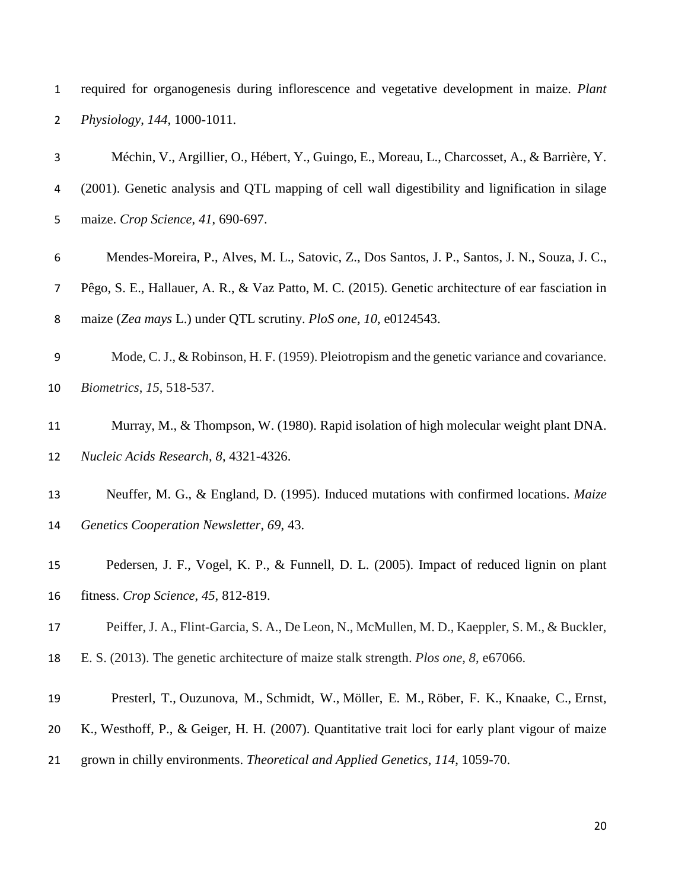|             | required for organogenesis during inflorescence and vegetative development in maize. Plant |  |  |  |  |
|-------------|--------------------------------------------------------------------------------------------|--|--|--|--|
| $2^{\circ}$ | <i>Physiology, 144, 1000-1011.</i>                                                         |  |  |  |  |

| 3              | Méchin, V., Argillier, O., Hébert, Y., Guingo, E., Moreau, L., Charcosset, A., & Barrière, Y.      |
|----------------|----------------------------------------------------------------------------------------------------|
| 4              | (2001). Genetic analysis and QTL mapping of cell wall digestibility and lignification in silage    |
| 5              | maize. Crop Science, 41, 690-697.                                                                  |
| 6              | Mendes-Moreira, P., Alves, M. L., Satovic, Z., Dos Santos, J. P., Santos, J. N., Souza, J. C.,     |
| $\overline{7}$ | Pêgo, S. E., Hallauer, A. R., & Vaz Patto, M. C. (2015). Genetic architecture of ear fasciation in |
| 8              | maize (Zea mays L.) under QTL scrutiny. PloS one, 10, e0124543.                                    |
| 9              | Mode, C. J., & Robinson, H. F. (1959). Pleiotropism and the genetic variance and covariance.       |
| 10             | Biometrics, 15, 518-537.                                                                           |
| 11             | Murray, M., & Thompson, W. (1980). Rapid isolation of high molecular weight plant DNA.             |
| 12             | Nucleic Acids Research, 8, 4321-4326.                                                              |
| 13             | Neuffer, M. G., & England, D. (1995). Induced mutations with confirmed locations. Maize            |
| 14             | Genetics Cooperation Newsletter, 69, 43.                                                           |
| 15             | Pedersen, J. F., Vogel, K. P., & Funnell, D. L. (2005). Impact of reduced lignin on plant          |
| 16             | fitness. Crop Science, 45, 812-819.                                                                |
| 17             | Peiffer, J. A., Flint-Garcia, S. A., De Leon, N., McMullen, M. D., Kaeppler, S. M., & Buckler,     |
| 18             | E. S. (2013). The genetic architecture of maize stalk strength. <i>Plos one</i> , 8, e67066.       |
| 19             | Presterl, T., Ouzunova, M., Schmidt, W., Möller, E. M., Röber, F. K., Knaake, C., Ernst,           |

- [K.](http://www.ncbi.nlm.nih.gov/pubmed/?term=Ernst%20K%5BAuthor%5D&cauthor=true&cauthor_uid=17340099), [Westhoff, P.](http://www.ncbi.nlm.nih.gov/pubmed/?term=Westhoff%20P%5BAuthor%5D&cauthor=true&cauthor_uid=17340099), & [Geiger, H. H.](http://www.ncbi.nlm.nih.gov/pubmed/?term=Geiger%20HH%5BAuthor%5D&cauthor=true&cauthor_uid=17340099) (2007). Quantitative trait loci for early plant vigour of maize
- grown in chilly environments. *Theoretical and Applied Genetics*, *114*, 1059-70.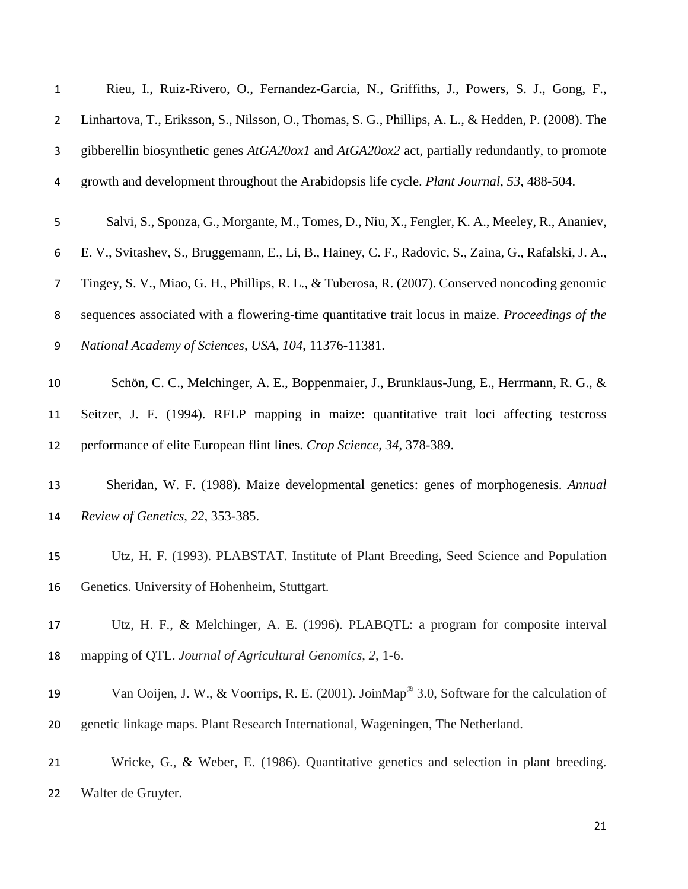| $\mathbf{1}$   | Rieu, I., Ruiz-Rivero, O., Fernandez-Garcia, N., Griffiths, J., Powers, S. J., Gong, F.,               |
|----------------|--------------------------------------------------------------------------------------------------------|
| $\overline{2}$ | Linhartova, T., Eriksson, S., Nilsson, O., Thomas, S. G., Phillips, A. L., & Hedden, P. (2008). The    |
| 3              | gibberellin biosynthetic genes $AtGA20ox1$ and $AtGA20ox2$ act, partially redundantly, to promote      |
| 4              | growth and development throughout the Arabidopsis life cycle. Plant Journal, 53, 488-504.              |
| 5              | Salvi, S., Sponza, G., Morgante, M., Tomes, D., Niu, X., Fengler, K. A., Meeley, R., Ananiev,          |
| 6              | E. V., Svitashev, S., Bruggemann, E., Li, B., Hainey, C. F., Radovic, S., Zaina, G., Rafalski, J. A.,  |
| 7              | Tingey, S. V., Miao, G. H., Phillips, R. L., & Tuberosa, R. (2007). Conserved noncoding genomic        |
| 8              | sequences associated with a flowering-time quantitative trait locus in maize. Proceedings of the       |
| 9              | National Academy of Sciences, USA, 104, 11376-11381.                                                   |
| 10             | Schön, C. C., Melchinger, A. E., Boppenmaier, J., Brunklaus-Jung, E., Herrmann, R. G., &               |
| 11             | Seitzer, J. F. (1994). RFLP mapping in maize: quantitative trait loci affecting testcross              |
| 12             | performance of elite European flint lines. Crop Science, 34, 378-389.                                  |
| 13             | Sheridan, W. F. (1988). Maize developmental genetics: genes of morphogenesis. Annual                   |
| 14             | Review of Genetics, 22, 353-385.                                                                       |
| 15             | Utz, H. F. (1993). PLABSTAT. Institute of Plant Breeding, Seed Science and Population                  |
| 16             | Genetics. University of Hohenheim, Stuttgart.                                                          |
| 17             | Utz, H. F., & Melchinger, A. E. (1996). PLABQTL: a program for composite interval                      |
| 18             | mapping of QTL. Journal of Agricultural Genomics, 2, 1-6.                                              |
| 19             | Van Ooijen, J. W., & Voorrips, R. E. (2001). JoinMap <sup>®</sup> 3.0, Software for the calculation of |
| 20             | genetic linkage maps. Plant Research International, Wageningen, The Netherland.                        |
| 21             | Wricke, G., & Weber, E. (1986). Quantitative genetics and selection in plant breeding.                 |
| 22             | Walter de Gruyter.                                                                                     |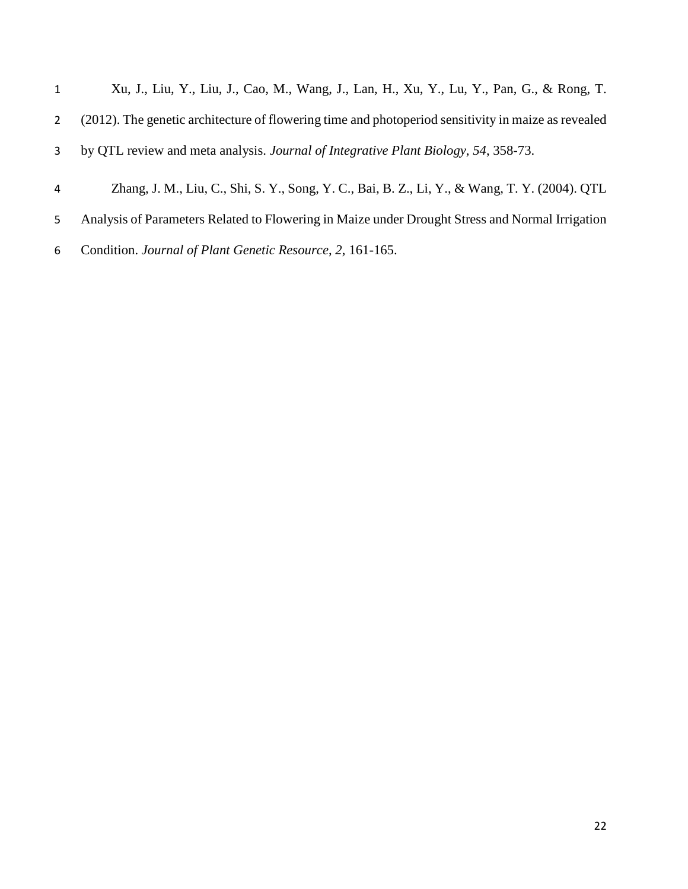| $\mathbf{1}$ | Xu, J., Liu, Y., Liu, J., Cao, M., Wang, J., Lan, H., Xu, Y., Lu, Y., Pan, G., & Rong, T.           |
|--------------|-----------------------------------------------------------------------------------------------------|
| 2            | (2012). The genetic architecture of flowering time and photoperiod sensitivity in maize as revealed |
|              | by QTL review and meta analysis. Journal of Integrative Plant Biology, 54, 358-73.                  |
| 4            | Zhang, J. M., Liu, C., Shi, S. Y., Song, Y. C., Bai, B. Z., Li, Y., & Wang, T. Y. (2004). QTL       |
| 5            | Analysis of Parameters Related to Flowering in Maize under Drought Stress and Normal Irrigation     |

Condition. *Journal of Plant Genetic Resource*, *2*, 161-165.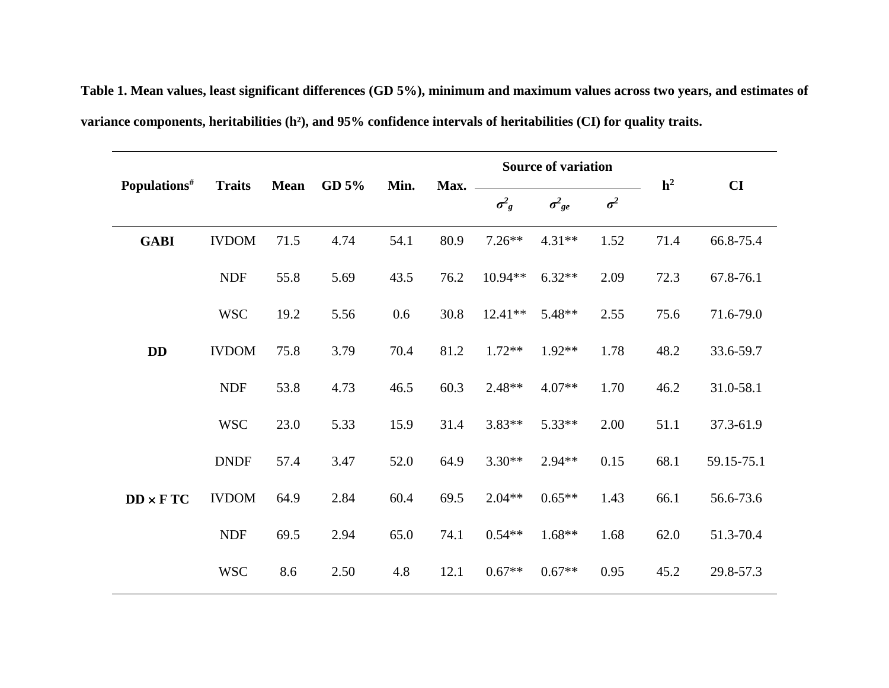**Table 1. Mean values, least significant differences (GD 5%), minimum and maximum values across two years, and estimates of variance components, heritabilities (h²), and 95% confidence intervals of heritabilities (CI) for quality traits.** 

|                          | <b>Traits</b> |             |          | Min. | Max. |              | <b>Source of variation</b> | h <sup>2</sup> | CI   |            |
|--------------------------|---------------|-------------|----------|------|------|--------------|----------------------------|----------------|------|------------|
| Populations <sup>#</sup> |               | <b>Mean</b> | GD $5\%$ |      |      | $\sigma^2_g$ | $\sigma^2_{ge}$            | $\sigma^2$     |      |            |
| <b>GABI</b>              | <b>IVDOM</b>  | 71.5        | 4.74     | 54.1 | 80.9 | $7.26**$     | $4.31**$                   | 1.52           | 71.4 | 66.8-75.4  |
|                          | <b>NDF</b>    | 55.8        | 5.69     | 43.5 | 76.2 | 10.94**      | $6.32**$                   | 2.09           | 72.3 | 67.8-76.1  |
|                          | <b>WSC</b>    | 19.2        | 5.56     | 0.6  | 30.8 | $12.41**$    | 5.48**                     | 2.55           | 75.6 | 71.6-79.0  |
| DD                       | <b>IVDOM</b>  | 75.8        | 3.79     | 70.4 | 81.2 | $1.72**$     | $1.92**$                   | 1.78           | 48.2 | 33.6-59.7  |
|                          | <b>NDF</b>    | 53.8        | 4.73     | 46.5 | 60.3 | $2.48**$     | $4.07**$                   | 1.70           | 46.2 | 31.0-58.1  |
|                          | <b>WSC</b>    | 23.0        | 5.33     | 15.9 | 31.4 | $3.83**$     | 5.33**                     | 2.00           | 51.1 | 37.3-61.9  |
|                          | <b>DNDF</b>   | 57.4        | 3.47     | 52.0 | 64.9 | $3.30**$     | $2.94**$                   | 0.15           | 68.1 | 59.15-75.1 |
| $DD \times FTC$          | <b>IVDOM</b>  | 64.9        | 2.84     | 60.4 | 69.5 | $2.04**$     | $0.65**$                   | 1.43           | 66.1 | 56.6-73.6  |
|                          | <b>NDF</b>    | 69.5        | 2.94     | 65.0 | 74.1 | $0.54**$     | $1.68**$                   | 1.68           | 62.0 | 51.3-70.4  |
|                          | <b>WSC</b>    | 8.6         | 2.50     | 4.8  | 12.1 | $0.67**$     | $0.67**$                   | 0.95           | 45.2 | 29.8-57.3  |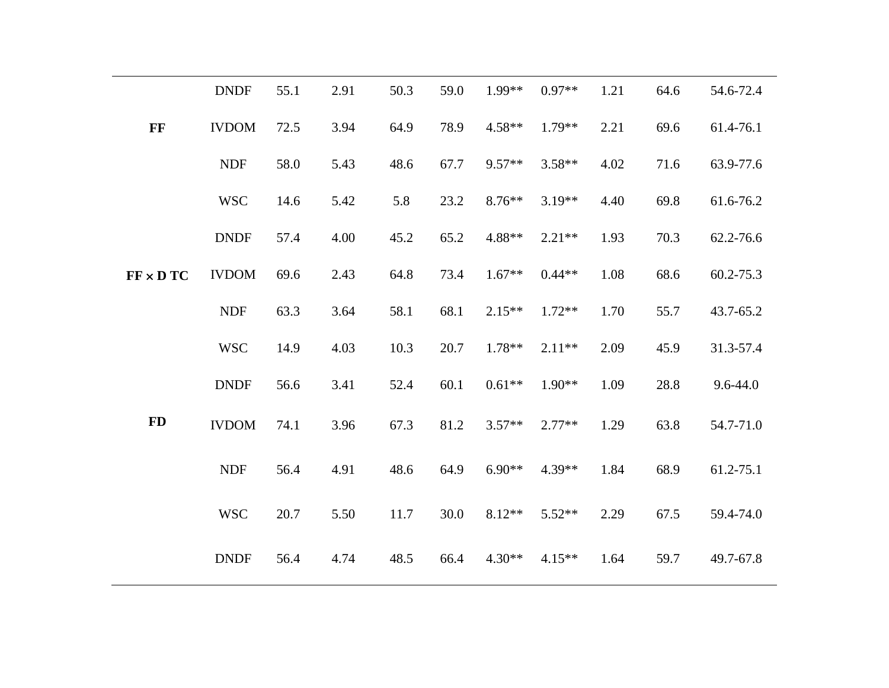|                  | <b>DNDF</b>  | 55.1 | 2.91 | 50.3 | 59.0 | $1.99**$ | $0.97**$ | 1.21 | 64.6 | 54.6-72.4    |
|------------------|--------------|------|------|------|------|----------|----------|------|------|--------------|
| FF               | <b>IVDOM</b> | 72.5 | 3.94 | 64.9 | 78.9 | $4.58**$ | $1.79**$ | 2.21 | 69.6 | 61.4-76.1    |
|                  | <b>NDF</b>   | 58.0 | 5.43 | 48.6 | 67.7 | 9.57**   | $3.58**$ | 4.02 | 71.6 | 63.9-77.6    |
|                  | <b>WSC</b>   | 14.6 | 5.42 | 5.8  | 23.2 | 8.76**   | $3.19**$ | 4.40 | 69.8 | 61.6-76.2    |
|                  | <b>DNDF</b>  | 57.4 | 4.00 | 45.2 | 65.2 | 4.88**   | $2.21**$ | 1.93 | 70.3 | 62.2-76.6    |
| $FF \times D TC$ | <b>IVDOM</b> | 69.6 | 2.43 | 64.8 | 73.4 | $1.67**$ | $0.44**$ | 1.08 | 68.6 | 60.2-75.3    |
|                  | <b>NDF</b>   | 63.3 | 3.64 | 58.1 | 68.1 | $2.15**$ | $1.72**$ | 1.70 | 55.7 | 43.7-65.2    |
|                  | <b>WSC</b>   | 14.9 | 4.03 | 10.3 | 20.7 | $1.78**$ | $2.11**$ | 2.09 | 45.9 | 31.3-57.4    |
|                  | <b>DNDF</b>  | 56.6 | 3.41 | 52.4 | 60.1 | $0.61**$ | $1.90**$ | 1.09 | 28.8 | $9.6 - 44.0$ |
| <b>FD</b>        | <b>IVDOM</b> | 74.1 | 3.96 | 67.3 | 81.2 | $3.57**$ | $2.77**$ | 1.29 | 63.8 | 54.7-71.0    |
|                  | <b>NDF</b>   | 56.4 | 4.91 | 48.6 | 64.9 | $6.90**$ | 4.39**   | 1.84 | 68.9 | 61.2-75.1    |
|                  | <b>WSC</b>   | 20.7 | 5.50 | 11.7 | 30.0 | $8.12**$ | $5.52**$ | 2.29 | 67.5 | 59.4-74.0    |
|                  | <b>DNDF</b>  | 56.4 | 4.74 | 48.5 | 66.4 | $4.30**$ | $4.15**$ | 1.64 | 59.7 | 49.7-67.8    |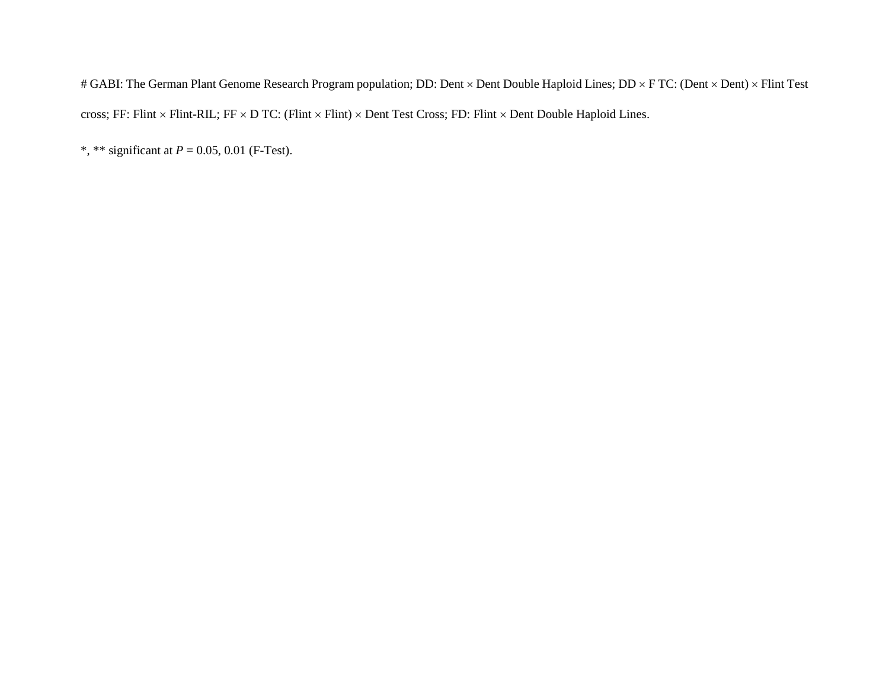# GABI: The German Plant Genome Research Program population; DD: Dent × Dent Double Haploid Lines; DD × F TC: (Dent × Dent) × Flint Test cross; FF: Flint × Flint-RIL; FF × D TC: (Flint × Flint) × Dent Test Cross; FD: Flint × Dent Double Haploid Lines.

\*, \*\* significant at *P* = 0.05, 0.01 (F-Test).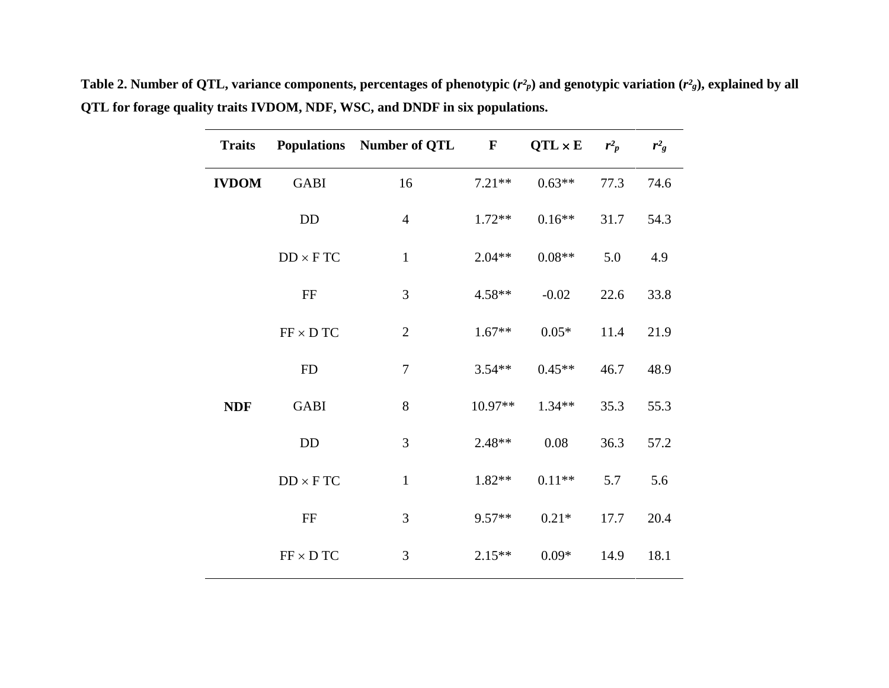| <b>Traits</b> |                                       | <b>Populations</b> Number of QTL | $\mathbf{F}$ | $QTL \times E$ | $r^2$ | $r^2$ |
|---------------|---------------------------------------|----------------------------------|--------------|----------------|-------|-------|
| <b>IVDOM</b>  | <b>GABI</b>                           | 16                               | $7.21**$     | $0.63**$       | 77.3  | 74.6  |
|               | DD                                    | $\overline{4}$                   | $1.72**$     | $0.16**$       | 31.7  | 54.3  |
|               | $DD \times FTC$                       | $\mathbf 1$                      | $2.04**$     | $0.08**$       | 5.0   | 4.9   |
|               | FF                                    | 3                                | $4.58**$     | $-0.02$        | 22.6  | 33.8  |
|               | $FF \times D TC$                      | $\mathbf{2}$                     | $1.67**$     | $0.05*$        | 11.4  | 21.9  |
|               | <b>FD</b>                             | $\boldsymbol{7}$                 | $3.54**$     | $0.45**$       | 46.7  | 48.9  |
| <b>NDF</b>    | <b>GABI</b>                           | 8                                | 10.97**      | $1.34**$       | 35.3  | 55.3  |
|               | <b>DD</b>                             | $\mathfrak{Z}$                   | $2.48**$     | 0.08           | 36.3  | 57.2  |
|               | $DD \times FTC$                       | $\mathbf{1}$                     | $1.82**$     | $0.11**$       | 5.7   | 5.6   |
|               | $\rm FF$                              | 3                                | $9.57**$     | $0.21*$        | 17.7  | 20.4  |
|               | $\text{FF} \times \text{D} \text{TC}$ | $\mathfrak{Z}$                   | $2.15**$     | $0.09*$        | 14.9  | 18.1  |

**Table 2. Number of QTL, variance components, percentages of phenotypic (***r² <sup>p</sup>***) and genotypic variation (***r² <sup>g</sup>***), explained by all QTL for forage quality traits IVDOM, NDF, WSC, and DNDF in six populations.**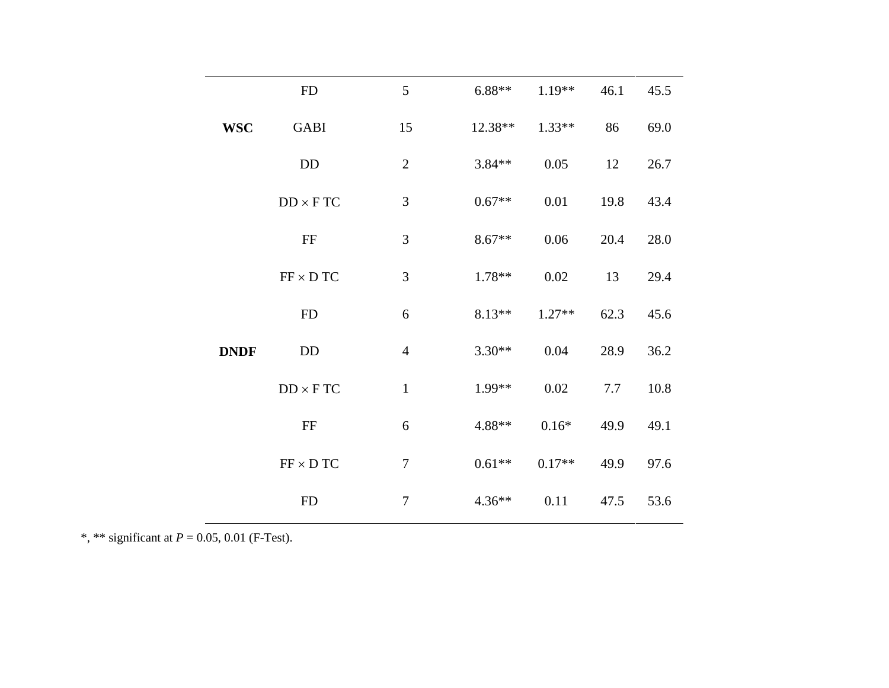|  |             | <b>FD</b>        | 5                | $6.88**$ | $1.19**$ | 46.1 | 45.5 |
|--|-------------|------------------|------------------|----------|----------|------|------|
|  | <b>WSC</b>  | <b>GABI</b>      | 15               | 12.38**  | $1.33**$ | 86   | 69.0 |
|  |             | DD               | $\mathbf{2}$     | $3.84**$ | 0.05     | 12   | 26.7 |
|  |             | $DD \times FTC$  | $\mathfrak{Z}$   | $0.67**$ | 0.01     | 19.8 | 43.4 |
|  |             | FF               | $\mathfrak{Z}$   | $8.67**$ | 0.06     | 20.4 | 28.0 |
|  |             | $FF \times D TC$ | $\mathfrak{Z}$   | $1.78**$ | 0.02     | 13   | 29.4 |
|  |             | ${\rm FD}$       | 6                | $8.13**$ | $1.27**$ | 62.3 | 45.6 |
|  | <b>DNDF</b> | DD               | $\overline{4}$   | $3.30**$ | 0.04     | 28.9 | 36.2 |
|  |             | $DD \times FTC$  | $\mathbf{1}$     | 1.99**   | 0.02     | 7.7  | 10.8 |
|  |             | $\rm FF$         | 6                | 4.88**   | $0.16\%$ | 49.9 | 49.1 |
|  |             | $FF \times DTC$  | $\boldsymbol{7}$ | $0.61**$ | $0.17**$ | 49.9 | 97.6 |
|  |             | ${\rm FD}$       | $\tau$           | $4.36**$ | 0.11     | 47.5 | 53.6 |
|  |             |                  |                  |          |          |      |      |

\*, \*\* significant at *P* = 0.05, 0.01 (F-Test).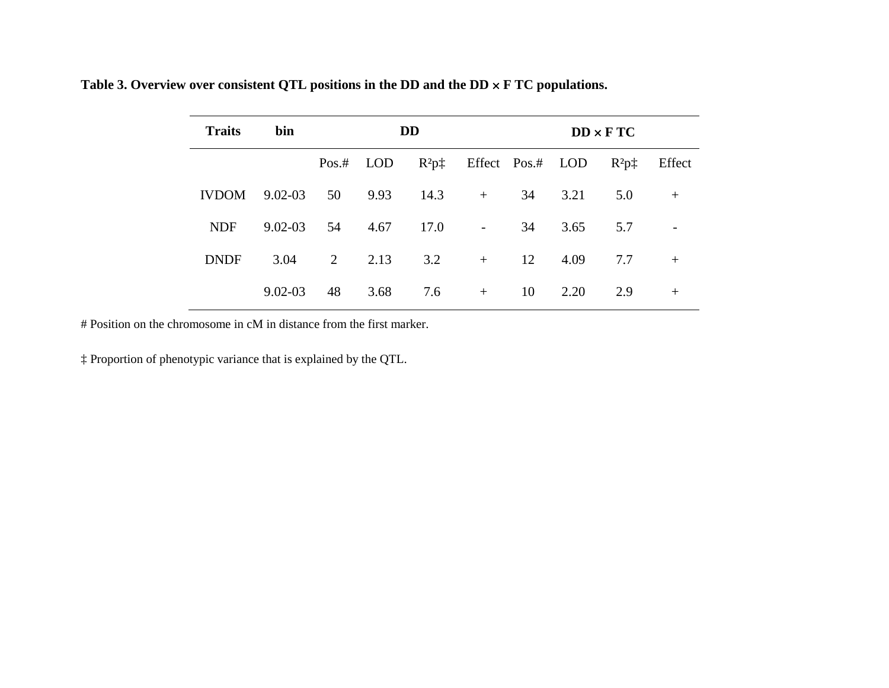| Table 3. Overview over consistent QTL positions in the DD and the DD $\times$ F TC populations. |  |  |  |  |  |  |
|-------------------------------------------------------------------------------------------------|--|--|--|--|--|--|
|-------------------------------------------------------------------------------------------------|--|--|--|--|--|--|

| <b>Traits</b> | bin         |    |             | <b>DD</b>                         |                          |    |      | $DD \times FTC$    |                          |
|---------------|-------------|----|-------------|-----------------------------------|--------------------------|----|------|--------------------|--------------------------|
|               |             |    | $Pos.*$ LOD | $R^2p^{\dagger}$ Effect Pos.# LOD |                          |    |      | $R^2$ p $\ddagger$ | Effect                   |
| <b>IVDOM</b>  | $9.02 - 03$ | 50 | 9.93        | 14.3                              | $+$                      | 34 | 3.21 | 5.0                | $+$                      |
| <b>NDF</b>    | $9.02 - 03$ | 54 | 4.67        | 17.0                              | <b>Contract Contract</b> | 34 | 3.65 | 5.7                | $\overline{\phantom{a}}$ |
| <b>DNDF</b>   | 3.04        | 2  | 2.13        | 3.2                               | $+$                      | 12 | 4.09 | 7.7                | $+$                      |
|               | $9.02 - 03$ | 48 | 3.68        | 7.6                               | $+$                      | 10 | 2.20 | 2.9                | $+$                      |

# Position on the chromosome in cM in distance from the first marker.

‡ Proportion of phenotypic variance that is explained by the QTL.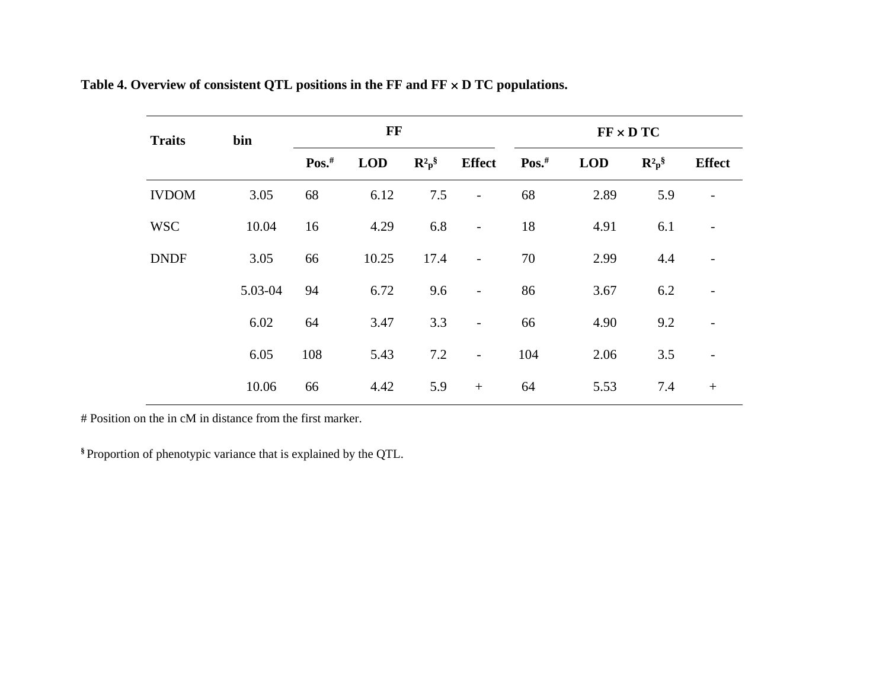| <b>Traits</b> | bin     |         | FF         |                                |                          |                      |            | $FF \times D TC$               |                          |
|---------------|---------|---------|------------|--------------------------------|--------------------------|----------------------|------------|--------------------------------|--------------------------|
|               |         | $Pos.*$ | <b>LOD</b> | $\mathbf{R}^2 \mathbf{p}^{\S}$ | <b>Effect</b>            | $\mathbf{Pos.}^{\#}$ | <b>LOD</b> | $\mathbf{R}^2 \mathbf{p}^{\S}$ | <b>Effect</b>            |
| <b>IVDOM</b>  | 3.05    | 68      | 6.12       | 7.5                            | $\overline{\phantom{a}}$ | 68                   | 2.89       | 5.9                            |                          |
| <b>WSC</b>    | 10.04   | 16      | 4.29       | 6.8                            | $\overline{\phantom{a}}$ | 18                   | 4.91       | 6.1                            |                          |
| <b>DNDF</b>   | 3.05    | 66      | 10.25      | 17.4                           | $\overline{\phantom{a}}$ | 70                   | 2.99       | 4.4                            |                          |
|               | 5.03-04 | 94      | 6.72       | 9.6                            | $\overline{\phantom{a}}$ | 86                   | 3.67       | 6.2                            | $\overline{\phantom{a}}$ |
|               | 6.02    | 64      | 3.47       | 3.3                            | $\overline{\phantom{a}}$ | 66                   | 4.90       | 9.2                            | $\overline{\phantom{a}}$ |
|               | 6.05    | 108     | 5.43       | 7.2                            | $\overline{\phantom{a}}$ | 104                  | 2.06       | 3.5                            |                          |
|               | 10.06   | 66      | 4.42       | 5.9                            | $+$                      | 64                   | 5.53       | 7.4                            | $+$                      |

# **Table 4. Overview of consistent QTL positions in the FF and FF** × **D TC populations.**

# Position on the in cM in distance from the first marker.

**§** Proportion of phenotypic variance that is explained by the QTL.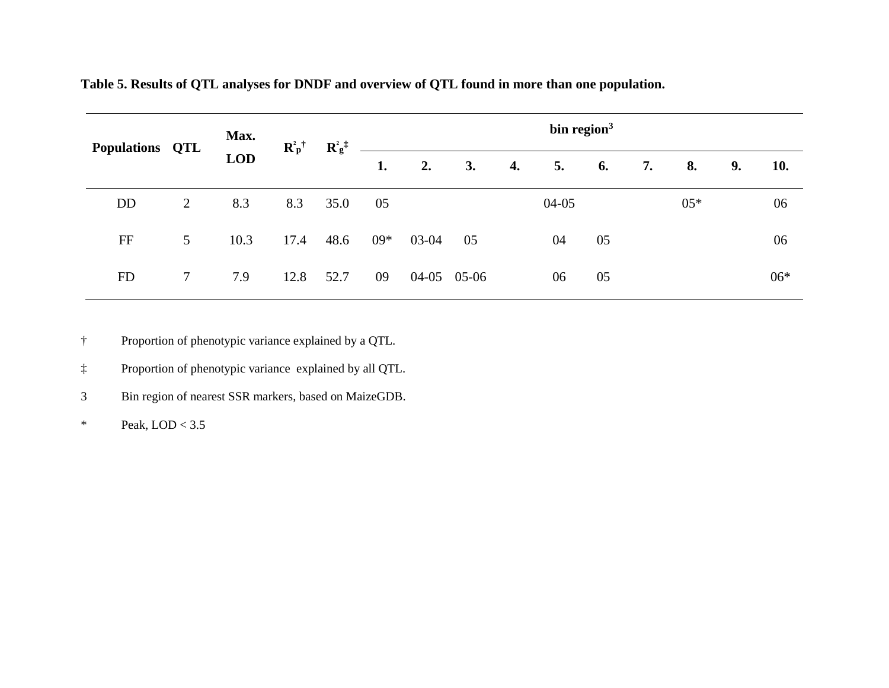| Populations QTL |                 | Max.       | $\mathbf{R}^2 \mathbf{p}^{\dagger}$ | $\mathbf{R}^2 \mathbf{g}^{\ddagger}$ |       |       |             |    | bin region $3$ |    |    |       |    |       |
|-----------------|-----------------|------------|-------------------------------------|--------------------------------------|-------|-------|-------------|----|----------------|----|----|-------|----|-------|
|                 |                 | <b>LOD</b> |                                     |                                      | 1.    | 2.    | 3.          | 4. | 5.             | 6. | 7. | 8.    | 9. | 10.   |
| <b>DD</b>       | 2               | 8.3        | 8.3                                 | 35.0                                 | 05    |       |             |    | $04-05$        |    |    | $05*$ |    | 06    |
| FF              | $5\overline{)}$ | 10.3       | 17.4                                | 48.6                                 | $09*$ | 03-04 | 05          |    | 04             | 05 |    |       |    | 06    |
| <b>FD</b>       | 7               | 7.9        | 12.8                                | 52.7                                 | 09    |       | 04-05 05-06 |    | 06             | 05 |    |       |    | $06*$ |

**Table 5. Results of QTL analyses for DNDF and overview of QTL found in more than one population.**

† Proportion of phenotypic variance explained by a QTL.

‡ Proportion of phenotypic variance explained by all QTL.

3 Bin region of nearest SSR markers, based on MaizeGDB.

\* Peak,  $LOD < 3.5$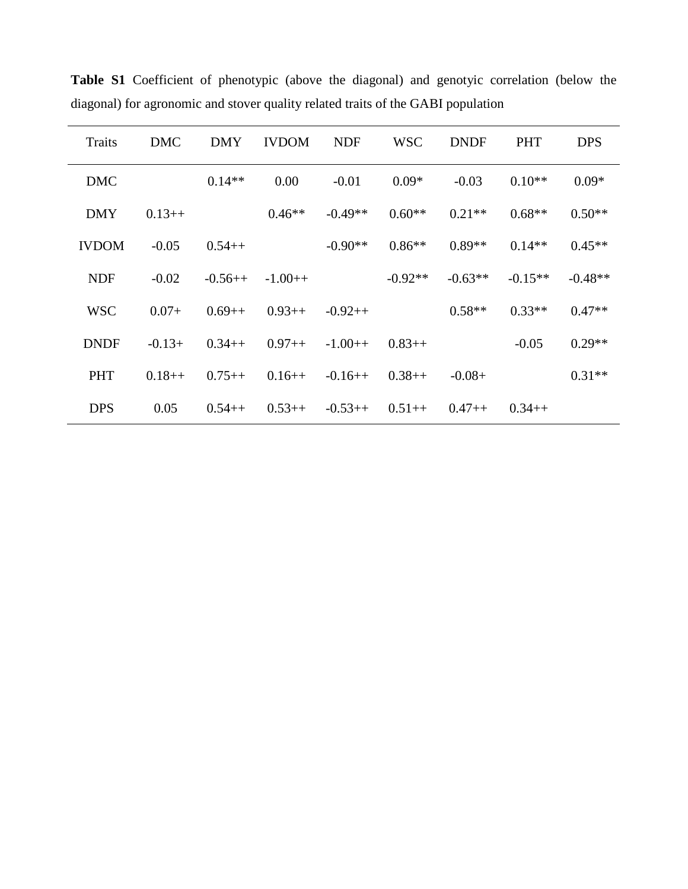| <b>Traits</b> | <b>DMC</b> | <b>DMY</b> | <b>IVDOM</b> | <b>NDF</b> | <b>WSC</b> | <b>DNDF</b> | <b>PHT</b> | <b>DPS</b> |
|---------------|------------|------------|--------------|------------|------------|-------------|------------|------------|
| <b>DMC</b>    |            | $0.14**$   | 0.00         | $-0.01$    | $0.09*$    | $-0.03$     | $0.10**$   | $0.09*$    |
| <b>DMY</b>    | $0.13++$   |            | $0.46**$     | $-0.49**$  | $0.60**$   | $0.21**$    | $0.68**$   | $0.50**$   |
| <b>IVDOM</b>  | $-0.05$    | $0.54++$   |              | $-0.90**$  | $0.86**$   | $0.89**$    | $0.14**$   | $0.45**$   |
| <b>NDF</b>    | $-0.02$    | $-0.56++$  | $-1.00++$    |            | $-0.92**$  | $-0.63**$   | $-0.15**$  | $-0.48**$  |
| <b>WSC</b>    | $0.07+$    | $0.69++$   | $0.93++$     | $-0.92++$  |            | $0.58**$    | $0.33**$   | $0.47**$   |
| <b>DNDF</b>   | $-0.13+$   | $0.34++$   | $0.97++$     | $-1.00++$  | $0.83++$   |             | $-0.05$    | $0.29**$   |
| <b>PHT</b>    | $0.18++$   | $0.75++$   | $0.16++$     | $-0.16++$  | $0.38++$   | $-0.08+$    |            | $0.31**$   |
| <b>DPS</b>    | 0.05       | $0.54++$   | $0.53++$     | $-0.53++$  | $0.51++$   | $0.47++$    | $0.34++$   |            |

**Table S1** Coefficient of phenotypic (above the diagonal) and genotyic correlation (below the diagonal) for agronomic and stover quality related traits of the GABI population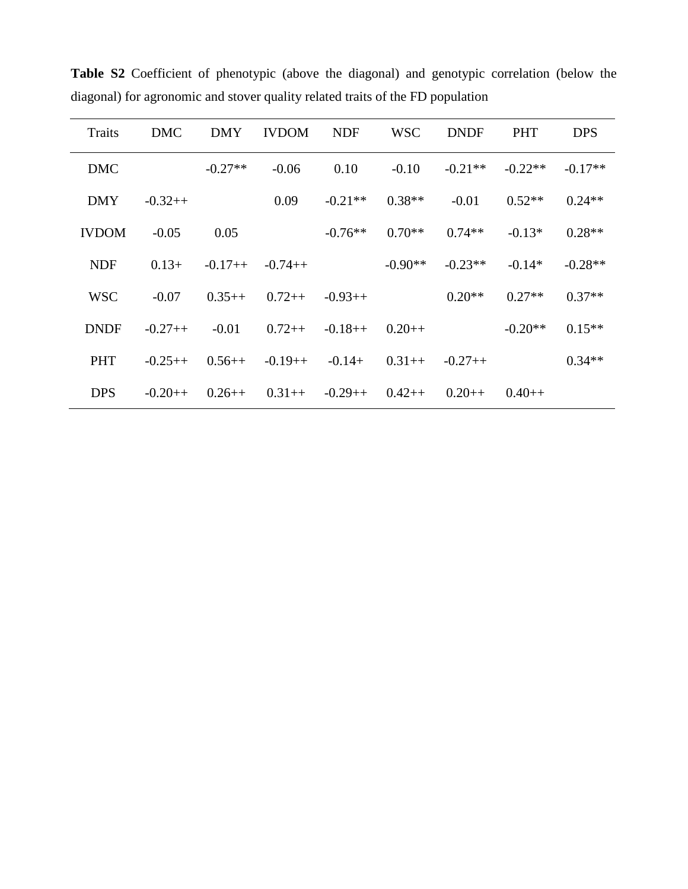| <b>Traits</b> | <b>DMC</b> | <b>DMY</b> | <b>IVDOM</b> | <b>NDF</b> | <b>WSC</b> | <b>DNDF</b> | <b>PHT</b> | <b>DPS</b> |
|---------------|------------|------------|--------------|------------|------------|-------------|------------|------------|
| <b>DMC</b>    |            | $-0.27**$  | $-0.06$      | 0.10       | $-0.10$    | $-0.21**$   | $-0.22**$  | $-0.17**$  |
| <b>DMY</b>    | $-0.32++$  |            | 0.09         | $-0.21**$  | $0.38**$   | $-0.01$     | $0.52**$   | $0.24**$   |
| <b>IVDOM</b>  | $-0.05$    | 0.05       |              | $-0.76**$  | $0.70**$   | $0.74**$    | $-0.13*$   | $0.28**$   |
| <b>NDF</b>    | $0.13+$    | $-0.17++$  | $-0.74++$    |            | $-0.90**$  | $-0.23**$   | $-0.14*$   | $-0.28**$  |
| <b>WSC</b>    | $-0.07$    | $0.35++$   | $0.72++$     | $-0.93++$  |            | $0.20**$    | $0.27**$   | $0.37**$   |
| <b>DNDF</b>   | $-0.27++$  | $-0.01$    | $0.72++$     | $-0.18++$  | $0.20++$   |             | $-0.20**$  | $0.15**$   |
| <b>PHT</b>    | $-0.25++$  | $0.56++$   | $-0.19++$    | $-0.14+$   | $0.31++$   | $-0.27++$   |            | $0.34**$   |
| <b>DPS</b>    | $-0.20++$  | $0.26++$   | $0.31++$     | $-0.29++$  | $0.42++$   | $0.20++$    | $0.40++$   |            |

**Table S2** Coefficient of phenotypic (above the diagonal) and genotypic correlation (below the diagonal) for agronomic and stover quality related traits of the FD population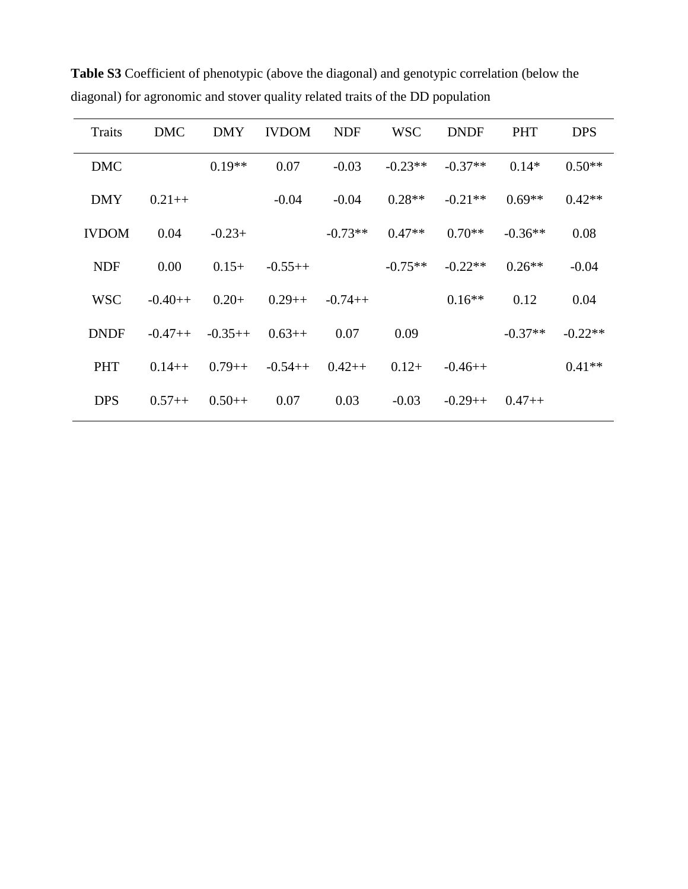| <b>Traits</b> | <b>DMC</b> | <b>DMY</b> | <b>IVDOM</b> | <b>NDF</b> | <b>WSC</b> | <b>DNDF</b> | <b>PHT</b> | <b>DPS</b> |
|---------------|------------|------------|--------------|------------|------------|-------------|------------|------------|
| <b>DMC</b>    |            | $0.19**$   | 0.07         | $-0.03$    | $-0.23**$  | $-0.37**$   | $0.14*$    | $0.50**$   |
| <b>DMY</b>    | $0.21++$   |            | $-0.04$      | $-0.04$    | $0.28**$   | $-0.21**$   | $0.69**$   | $0.42**$   |
| <b>IVDOM</b>  | 0.04       | $-0.23+$   |              | $-0.73**$  | $0.47**$   | $0.70**$    | $-0.36**$  | 0.08       |
| <b>NDF</b>    | 0.00       | $0.15+$    | $-0.55++$    |            | $-0.75**$  | $-0.22**$   | $0.26**$   | $-0.04$    |
| <b>WSC</b>    | $-0.40++$  | $0.20+$    | $0.29++$     | $-0.74++$  |            | $0.16**$    | 0.12       | 0.04       |
| <b>DNDF</b>   | $-0.47++$  | $-0.35++$  | $0.63++$     | 0.07       | 0.09       |             | $-0.37**$  | $-0.22**$  |
| <b>PHT</b>    | $0.14++$   | $0.79++$   | $-0.54++$    | $0.42++$   | $0.12+$    | $-0.46++$   |            | $0.41**$   |
| <b>DPS</b>    | $0.57++$   | $0.50++$   | 0.07         | 0.03       | $-0.03$    | $-0.29++$   | $0.47++$   |            |

**Table S3** Coefficient of phenotypic (above the diagonal) and genotypic correlation (below the diagonal) for agronomic and stover quality related traits of the DD population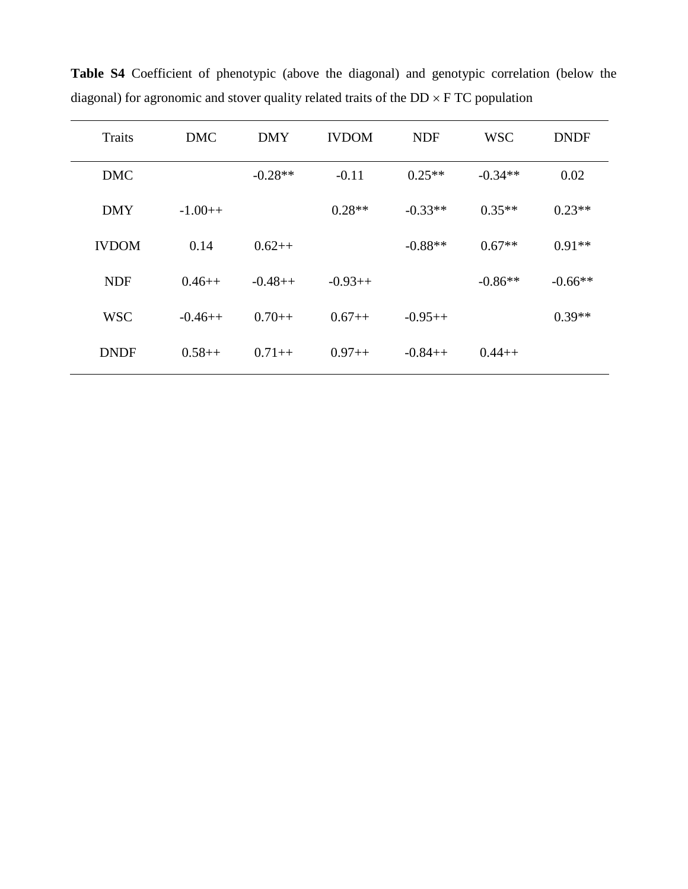| <b>Traits</b> | <b>DMC</b> | <b>DMY</b> | <b>IVDOM</b> | <b>NDF</b> | <b>WSC</b> | <b>DNDF</b> |
|---------------|------------|------------|--------------|------------|------------|-------------|
| <b>DMC</b>    |            | $-0.28**$  | $-0.11$      | $0.25**$   | $-0.34**$  | 0.02        |
| <b>DMY</b>    | $-1.00++$  |            | $0.28**$     | $-0.33**$  | $0.35**$   | $0.23**$    |
| <b>IVDOM</b>  | 0.14       | $0.62++$   |              | $-0.88**$  | $0.67**$   | $0.91**$    |
| <b>NDF</b>    | $0.46++$   | $-0.48++$  | $-0.93++$    |            | $-0.86**$  | $-0.66**$   |
| <b>WSC</b>    | $-0.46++$  | $0.70++$   | $0.67++$     | $-0.95++$  |            | $0.39**$    |
| <b>DNDF</b>   | $0.58++$   | $0.71++$   | $0.97++$     | $-0.84++$  | $0.44++$   |             |

**Table S4** Coefficient of phenotypic (above the diagonal) and genotypic correlation (below the diagonal) for agronomic and stover quality related traits of the  $DD \times FTC$  population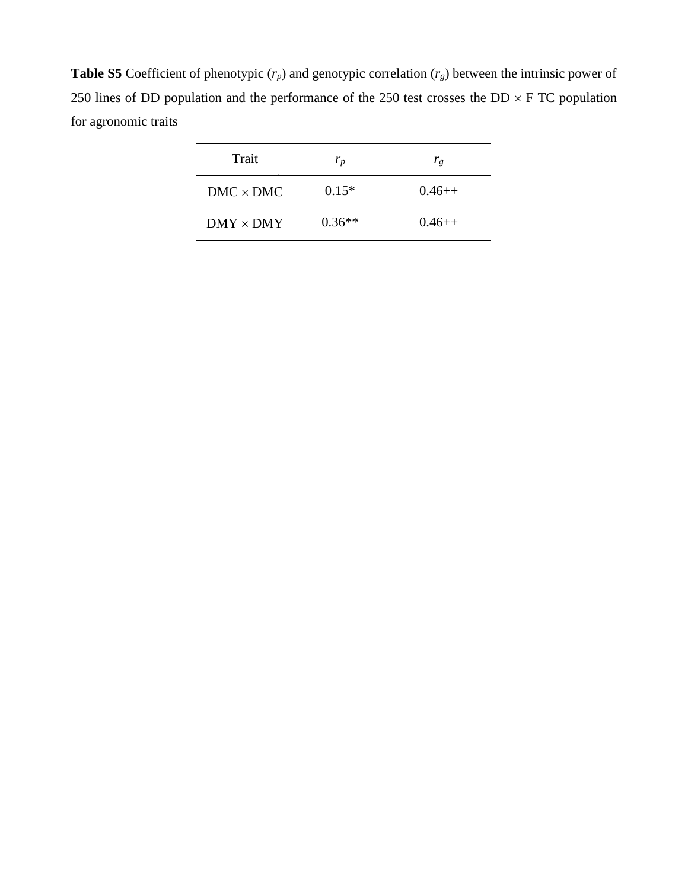**Table S5** Coefficient of phenotypic  $(r_p)$  and genotypic correlation  $(r_g)$  between the intrinsic power of 250 lines of DD population and the performance of the 250 test crosses the  $DD \times F$  TC population for agronomic traits

| Trait            | $r_p$    | $r_{g}$  |
|------------------|----------|----------|
| $DMC \times DMC$ | $0.15*$  | $0.46++$ |
| $DMY \times DMY$ | $0.36**$ | $0.46++$ |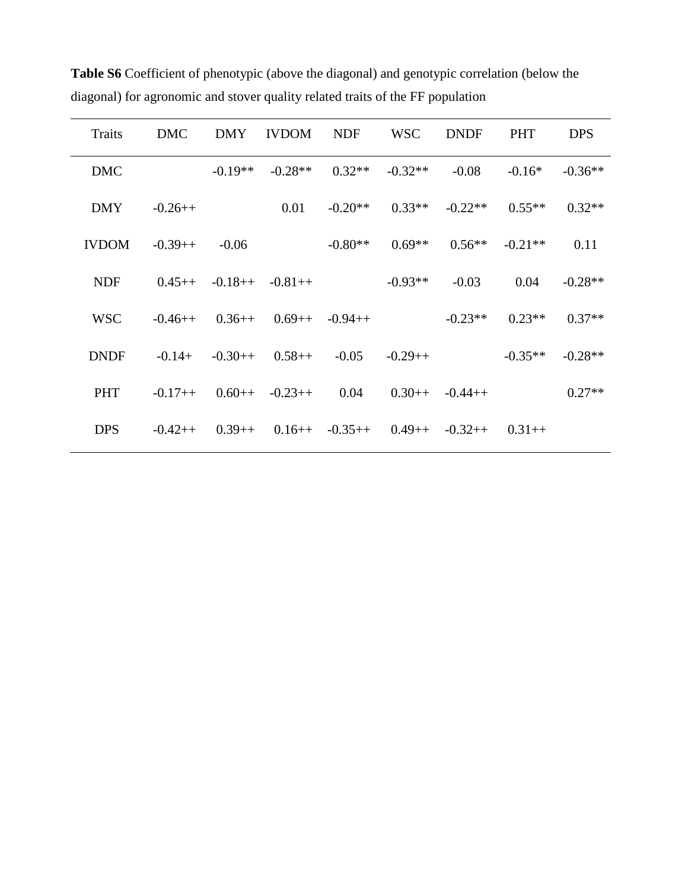| <b>Traits</b> | <b>DMC</b> | <b>DMY</b> | <b>IVDOM</b>      | <b>NDF</b>       | <b>WSC</b> | <b>DNDF</b>      | <b>PHT</b> | <b>DPS</b> |
|---------------|------------|------------|-------------------|------------------|------------|------------------|------------|------------|
| <b>DMC</b>    |            | $-0.19**$  | $-0.28**$         | $0.32**$         | $-0.32**$  | $-0.08$          | $-0.16*$   | $-0.36**$  |
| <b>DMY</b>    | $-0.26++$  |            | 0.01              | $-0.20**$        | $0.33**$   | $-0.22**$        | $0.55**$   | $0.32**$   |
| <b>IVDOM</b>  | $-0.39++$  | $-0.06$    |                   | $-0.80**$        | $0.69**$   | $0.56**$         | $-0.21**$  | 0.11       |
| <b>NDF</b>    | $0.45++$   |            | $-0.18++ -0.81++$ |                  | $-0.93**$  | $-0.03$          | 0.04       | $-0.28**$  |
| <b>WSC</b>    | $-0.46++$  | $0.36++$   |                   | $0.69++ -0.94++$ |            | $-0.23**$        | $0.23**$   | $0.37**$   |
| <b>DNDF</b>   | $-0.14+$   | $-0.30++$  | $0.58++$          | $-0.05$          | $-0.29++$  |                  | $-0.35**$  | $-0.28**$  |
| <b>PHT</b>    | $-0.17++$  |            | $0.60++ -0.23++$  | 0.04             |            | $0.30++ -0.44++$ |            | $0.27**$   |
| <b>DPS</b>    | $-0.42++$  | $0.39++$   |                   | $0.16++ -0.35++$ | $0.49++$   | $-0.32++$        | $0.31++$   |            |

**Table S6** Coefficient of phenotypic (above the diagonal) and genotypic correlation (below the diagonal) for agronomic and stover quality related traits of the FF population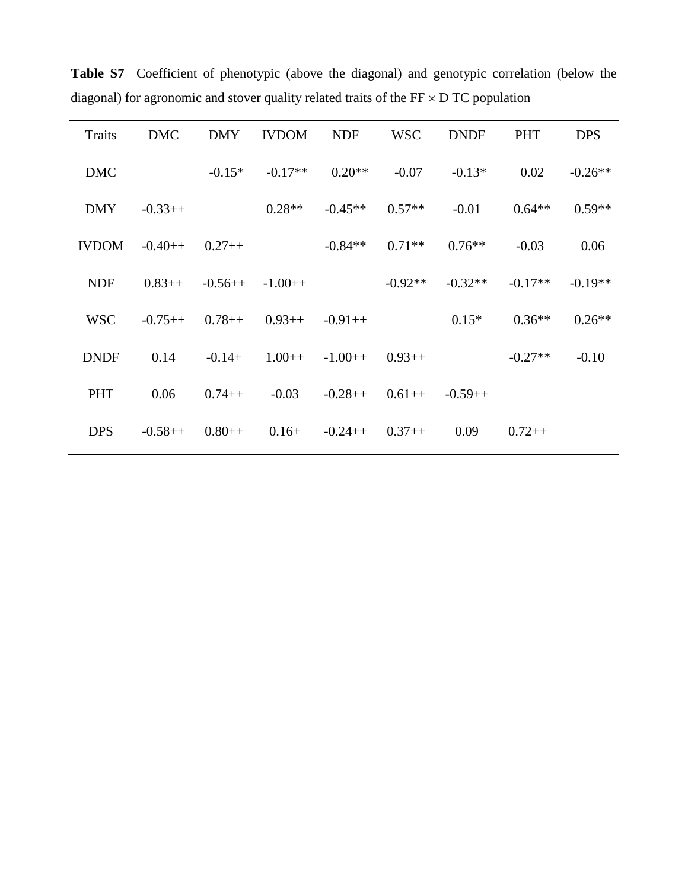| <b>Traits</b> | <b>DMC</b> | <b>DMY</b> | <b>IVDOM</b> | <b>NDF</b> | <b>WSC</b> | <b>DNDF</b> | <b>PHT</b> | <b>DPS</b> |
|---------------|------------|------------|--------------|------------|------------|-------------|------------|------------|
| <b>DMC</b>    |            | $-0.15*$   | $-0.17**$    | $0.20**$   | $-0.07$    | $-0.13*$    | 0.02       | $-0.26**$  |
| <b>DMY</b>    | $-0.33++$  |            | $0.28**$     | $-0.45**$  | $0.57**$   | $-0.01$     | $0.64**$   | $0.59**$   |
| <b>IVDOM</b>  | $-0.40++$  | $0.27++$   |              | $-0.84**$  | $0.71**$   | $0.76**$    | $-0.03$    | 0.06       |
| <b>NDF</b>    | $0.83++$   | $-0.56++$  | $-1.00++$    |            | $-0.92**$  | $-0.32**$   | $-0.17**$  | $-0.19**$  |
| <b>WSC</b>    | $-0.75++$  | $0.78++$   | $0.93++$     | $-0.91++$  |            | $0.15*$     | $0.36**$   | $0.26**$   |
| <b>DNDF</b>   | 0.14       | $-0.14+$   | $1.00++$     | $-1.00++$  | $0.93++$   |             | $-0.27**$  | $-0.10$    |
| PHT           | 0.06       | $0.74++$   | $-0.03$      | $-0.28++$  | $0.61++$   | $-0.59++$   |            |            |
| <b>DPS</b>    | $-0.58++$  | $0.80++$   | $0.16+$      | $-0.24++$  | $0.37++$   | 0.09        | $0.72++$   |            |

Table S7 Coefficient of phenotypic (above the diagonal) and genotypic correlation (below the diagonal) for agronomic and stover quality related traits of the  $FF \times DTC$  population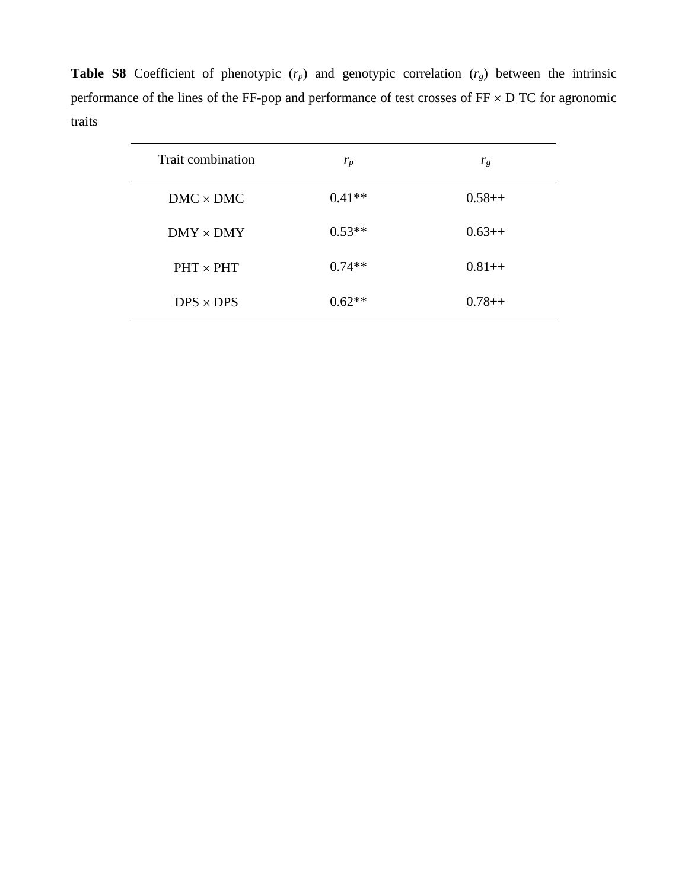**Table S8** Coefficient of phenotypic (*rp*) and genotypic correlation (*rg*) between the intrinsic performance of the lines of the FF-pop and performance of test crosses of  $FF \times D TC$  for agronomic traits

| Trait combination | $r_p$    | $r_g$    |
|-------------------|----------|----------|
| $DMC \times DMC$  | $0.41**$ | $0.58++$ |
| $DMY \times DMY$  | $0.53**$ | $0.63++$ |
| $PHT \times PHT$  | $0.74**$ | $0.81++$ |
| $DPS \times DPS$  | $0.62**$ | $0.78++$ |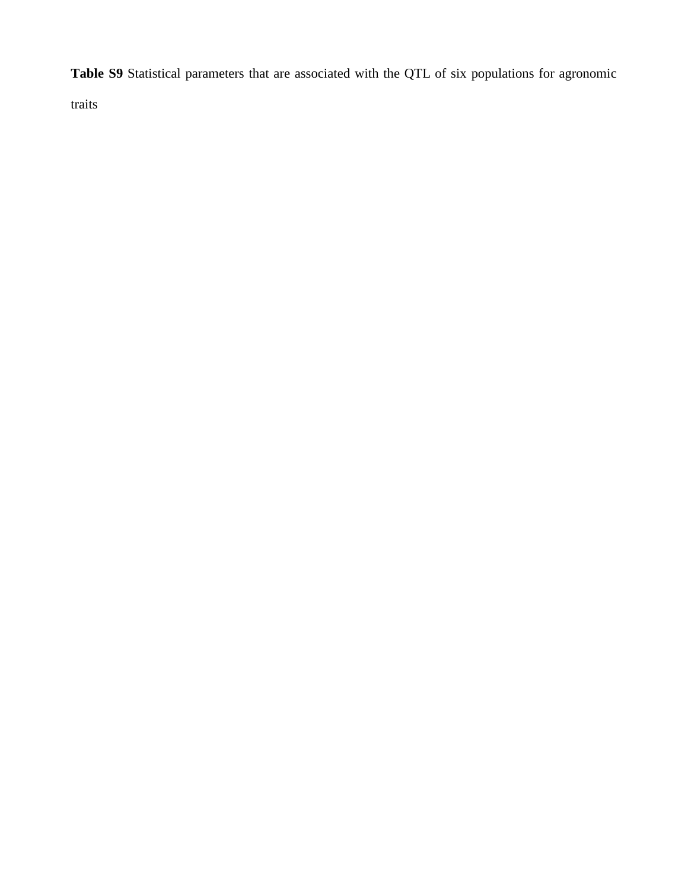**Table S9** Statistical parameters that are associated with the QTL of six populations for agronomic

traits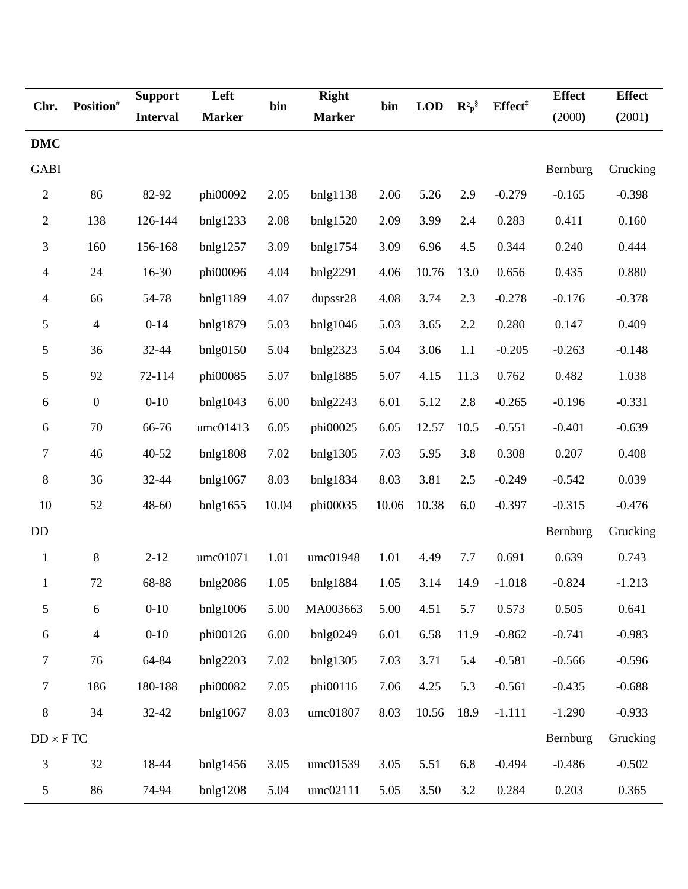| Chr.                     | Position <sup>#</sup>    | <b>Support</b>  | Left          | bin   | <b>Right</b>  | bin   | <b>LOD</b> |           | Effect <sup>#</sup> | <b>Effect</b> | <b>Effect</b> |
|--------------------------|--------------------------|-----------------|---------------|-------|---------------|-------|------------|-----------|---------------------|---------------|---------------|
|                          |                          | <b>Interval</b> | <b>Marker</b> |       | <b>Marker</b> |       |            | $R^2 p^8$ |                     | (2000)        | (2001)        |
| <b>DMC</b>               |                          |                 |               |       |               |       |            |           |                     |               |               |
| <b>GABI</b>              |                          |                 |               |       |               |       |            |           |                     | Bernburg      | Grucking      |
| $\mathbf{2}$             | 86                       | 82-92           | phi00092      | 2.05  | bnlg1138      | 2.06  | 5.26       | 2.9       | $-0.279$            | $-0.165$      | $-0.398$      |
| $\overline{c}$           | 138                      | 126-144         | bnlg1233      | 2.08  | bnlg1520      | 2.09  | 3.99       | 2.4       | 0.283               | 0.411         | 0.160         |
| 3                        | 160                      | 156-168         | bnlg1257      | 3.09  | bnlg1754      | 3.09  | 6.96       | 4.5       | 0.344               | 0.240         | 0.444         |
| 4                        | 24                       | 16-30           | phi00096      | 4.04  | bnlg2291      | 4.06  | 10.76      | 13.0      | 0.656               | 0.435         | 0.880         |
| $\overline{\mathcal{L}}$ | 66                       | 54-78           | bnlg1189      | 4.07  | dupssr28      | 4.08  | 3.74       | 2.3       | $-0.278$            | $-0.176$      | $-0.378$      |
| 5                        | $\overline{\mathcal{A}}$ | $0 - 14$        | bnlg1879      | 5.03  | bnlg1046      | 5.03  | 3.65       | 2.2       | 0.280               | 0.147         | 0.409         |
| 5                        | 36                       | 32-44           | bnlg0150      | 5.04  | bnlg2323      | 5.04  | 3.06       | 1.1       | $-0.205$            | $-0.263$      | $-0.148$      |
| 5                        | 92                       | 72-114          | phi00085      | 5.07  | bnlg1885      | 5.07  | 4.15       | 11.3      | 0.762               | 0.482         | 1.038         |
| 6                        | $\boldsymbol{0}$         | $0 - 10$        | bnlg1043      | 6.00  | bnlg2243      | 6.01  | 5.12       | 2.8       | $-0.265$            | $-0.196$      | $-0.331$      |
| 6                        | $70\,$                   | 66-76           | umc01413      | 6.05  | phi00025      | 6.05  | 12.57      | 10.5      | $-0.551$            | $-0.401$      | $-0.639$      |
| 7                        | 46                       | 40-52           | bnlg1808      | 7.02  | bnlg1305      | 7.03  | 5.95       | 3.8       | 0.308               | 0.207         | 0.408         |
| $8\,$                    | 36                       | 32-44           | bnlg1067      | 8.03  | bnlg1834      | 8.03  | 3.81       | 2.5       | $-0.249$            | $-0.542$      | 0.039         |
| 10                       | 52                       | 48-60           | bnlg1655      | 10.04 | phi00035      | 10.06 | 10.38      | 6.0       | $-0.397$            | $-0.315$      | $-0.476$      |
| DD                       |                          |                 |               |       |               |       |            |           |                     | Bernburg      | Grucking      |
| $\mathbf{1}$             | 8                        | $2 - 12$        | umc01071      | 1.01  | umc01948      | 1.01  | 4.49       | 7.7       | 0.691               | 0.639         | 0.743         |
|                          | 72                       | 68-88           | bnlg2086      | 1.05  | bnlg1884      | 1.05  | 3.14       | 14.9      | $-1.018$            | $-0.824$      | $-1.213$      |
| $\mathfrak s$            | 6                        | $0 - 10$        | bnlg1006      | 5.00  | MA003663      | 5.00  | 4.51       | 5.7       | 0.573               | 0.505         | 0.641         |
| 6                        | $\overline{\mathbf{4}}$  | $0 - 10$        | phi00126      | 6.00  | bnlg0249      | 6.01  | 6.58       | 11.9      | $-0.862$            | $-0.741$      | $-0.983$      |
| $\overline{7}$           | 76                       | 64-84           | bnlg2203      | 7.02  | bnlg1305      | 7.03  | 3.71       | 5.4       | $-0.581$            | $-0.566$      | $-0.596$      |
| $\tau$                   | 186                      | 180-188         | phi00082      | 7.05  | phi00116      | 7.06  | 4.25       | 5.3       | $-0.561$            | $-0.435$      | $-0.688$      |
| 8                        | 34                       | 32-42           | bnlg1067      | 8.03  | umc01807      | 8.03  | 10.56      | 18.9      | $-1.111$            | $-1.290$      | $-0.933$      |
| $DD \times FTC$          |                          |                 |               |       |               |       |            |           |                     | Bernburg      | Grucking      |
| 3                        | 32                       | 18-44           | $b$ nlg1456   | 3.05  | umc01539      | 3.05  | 5.51       | 6.8       | $-0.494$            | $-0.486$      | $-0.502$      |
| $\mathfrak s$            | 86                       | 74-94           | bnlg1208      | 5.04  | umc02111      | 5.05  | 3.50       | 3.2       | 0.284               | 0.203         | 0.365         |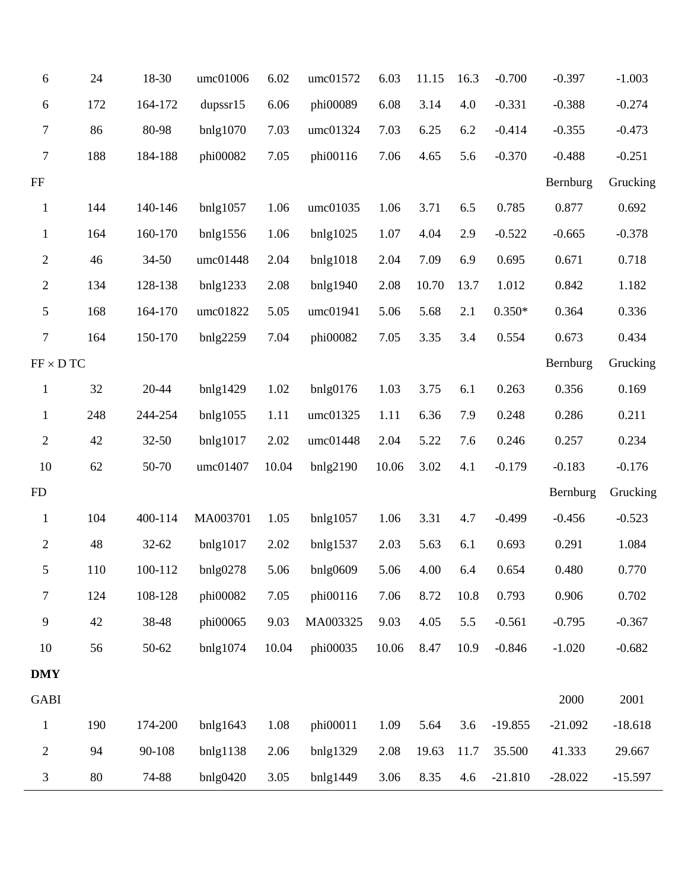| $\boldsymbol{6}$ | 24  | 18-30     | umc01006 | 6.02  | umc01572       | 6.03  | 11.15 | 16.3 | $-0.700$  | $-0.397$  | $-1.003$  |
|------------------|-----|-----------|----------|-------|----------------|-------|-------|------|-----------|-----------|-----------|
| $\boldsymbol{6}$ | 172 | 164-172   | dupss15  | 6.06  | phi00089       | 6.08  | 3.14  | 4.0  | $-0.331$  | $-0.388$  | $-0.274$  |
| $\tau$           | 86  | 80-98     | bnlg1070 | 7.03  | umc01324       | 7.03  | 6.25  | 6.2  | $-0.414$  | $-0.355$  | $-0.473$  |
| $\boldsymbol{7}$ | 188 | 184-188   | phi00082 | 7.05  | phi00116       | 7.06  | 4.65  | 5.6  | $-0.370$  | $-0.488$  | $-0.251$  |
| $\rm FF$         |     |           |          |       |                |       |       |      |           | Bernburg  | Grucking  |
| $\,1\,$          | 144 | 140-146   | bnlg1057 | 1.06  | umc01035       | 1.06  | 3.71  | 6.5  | 0.785     | 0.877     | 0.692     |
| $\mathbf{1}$     | 164 | 160-170   | bnlg1556 | 1.06  | bnlg1025       | 1.07  | 4.04  | 2.9  | $-0.522$  | $-0.665$  | $-0.378$  |
| $\overline{2}$   | 46  | $34 - 50$ | umc01448 | 2.04  | bnlg1018       | 2.04  | 7.09  | 6.9  | 0.695     | 0.671     | 0.718     |
| $\overline{2}$   | 134 | 128-138   | bnlg1233 | 2.08  | bnlg1940       | 2.08  | 10.70 | 13.7 | 1.012     | 0.842     | 1.182     |
| 5                | 168 | 164-170   | umc01822 | 5.05  | umc01941       | 5.06  | 5.68  | 2.1  | $0.350*$  | 0.364     | 0.336     |
| $\boldsymbol{7}$ | 164 | 150-170   | bnlg2259 | 7.04  | phi00082       | 7.05  | 3.35  | 3.4  | 0.554     | 0.673     | 0.434     |
| $FF \times DTC$  |     |           |          |       |                |       |       |      |           | Bernburg  | Grucking  |
| $\,1$            | 32  | 20-44     | bnlg1429 | 1.02  | $b$ nlg $0176$ | 1.03  | 3.75  | 6.1  | 0.263     | 0.356     | 0.169     |
| $\mathbf{1}$     | 248 | 244-254   | bnlg1055 | 1.11  | umc01325       | 1.11  | 6.36  | 7.9  | 0.248     | 0.286     | 0.211     |
| $\overline{2}$   | 42  | 32-50     | bnlg1017 | 2.02  | umc01448       | 2.04  | 5.22  | 7.6  | 0.246     | 0.257     | 0.234     |
| 10               | 62  | 50-70     | umc01407 | 10.04 | bnlg2190       | 10.06 | 3.02  | 4.1  | $-0.179$  | $-0.183$  | $-0.176$  |
| FD               |     |           |          |       |                |       |       |      |           | Bernburg  | Grucking  |
| $\mathbf{1}$     | 104 | 400-114   | MA003701 | 1.05  | bnlg1057       | 1.06  | 3.31  | 4.7  | $-0.499$  | $-0.456$  | $-0.523$  |
| $\overline{2}$   | 48  | 32-62     | bnlg1017 | 2.02  | bnlg1537       | 2.03  | 5.63  | 6.1  | 0.693     | 0.291     | 1.084     |
| 5                | 110 | 100-112   | bnlg0278 | 5.06  | bnlg0609       | 5.06  | 4.00  | 6.4  | 0.654     | 0.480     | 0.770     |
| $\tau$           | 124 | 108-128   | phi00082 | 7.05  | phi00116       | 7.06  | 8.72  | 10.8 | 0.793     | 0.906     | 0.702     |
| 9                | 42  | 38-48     | phi00065 | 9.03  | MA003325       | 9.03  | 4.05  | 5.5  | $-0.561$  | $-0.795$  | $-0.367$  |
| 10               | 56  | 50-62     | bnlg1074 | 10.04 | phi00035       | 10.06 | 8.47  | 10.9 | $-0.846$  | $-1.020$  | $-0.682$  |
| <b>DMY</b>       |     |           |          |       |                |       |       |      |           |           |           |
| <b>GABI</b>      |     |           |          |       |                |       |       |      |           | 2000      | 2001      |
| $\mathbf{1}$     | 190 | 174-200   | bnlg1643 | 1.08  | phi00011       | 1.09  | 5.64  | 3.6  | $-19.855$ | $-21.092$ | $-18.618$ |
| $\overline{c}$   | 94  | 90-108    | bnlg1138 | 2.06  | bnlg1329       | 2.08  | 19.63 | 11.7 | 35.500    | 41.333    | 29.667    |
| 3                | 80  | 74-88     | bnlg0420 | 3.05  | bnlg1449       | 3.06  | 8.35  | 4.6  | $-21.810$ | $-28.022$ | $-15.597$ |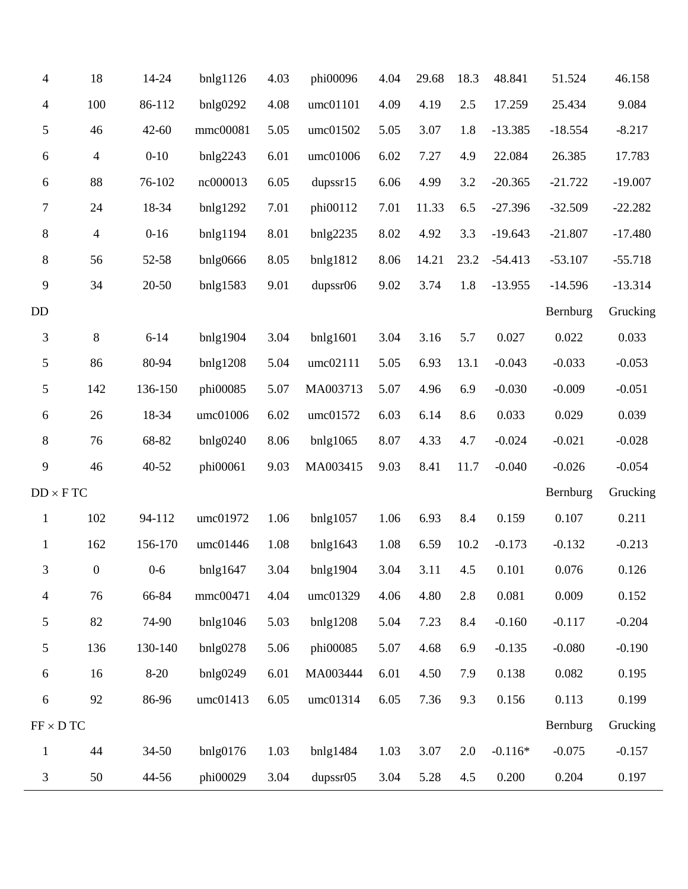| $\overline{4}$   | 18             | 14-24     | $b$ nlg1126    | 4.03 | phi00096 | 4.04 | 29.68 | 18.3 | 48.841    | 51.524    | 46.158    |
|------------------|----------------|-----------|----------------|------|----------|------|-------|------|-----------|-----------|-----------|
| $\overline{4}$   | 100            | 86-112    | bnlg0292       | 4.08 | umc01101 | 4.09 | 4.19  | 2.5  | 17.259    | 25.434    | 9.084     |
| 5                | 46             | $42 - 60$ | mmc00081       | 5.05 | umc01502 | 5.05 | 3.07  | 1.8  | $-13.385$ | $-18.554$ | $-8.217$  |
| $\boldsymbol{6}$ | $\overline{4}$ | $0 - 10$  | bnlg2243       | 6.01 | umc01006 | 6.02 | 7.27  | 4.9  | 22.084    | 26.385    | 17.783    |
| 6                | 88             | 76-102    | nc000013       | 6.05 | dupser15 | 6.06 | 4.99  | 3.2  | $-20.365$ | $-21.722$ | $-19.007$ |
| 7                | 24             | 18-34     | bnlg1292       | 7.01 | phi00112 | 7.01 | 11.33 | 6.5  | $-27.396$ | $-32.509$ | $-22.282$ |
| 8                | $\overline{4}$ | $0 - 16$  | bnlg1194       | 8.01 | bnlg2235 | 8.02 | 4.92  | 3.3  | $-19.643$ | $-21.807$ | $-17.480$ |
| $8\,$            | 56             | 52-58     | bnlg0666       | 8.05 | bnlg1812 | 8.06 | 14.21 | 23.2 | $-54.413$ | $-53.107$ | $-55.718$ |
| 9                | 34             | $20 - 50$ | bnlg1583       | 9.01 | dupssr06 | 9.02 | 3.74  | 1.8  | $-13.955$ | $-14.596$ | $-13.314$ |
| <b>DD</b>        |                |           |                |      |          |      |       |      |           | Bernburg  | Grucking  |
| $\mathfrak{Z}$   | $\,8\,$        | $6 - 14$  | bnlg1904       | 3.04 | bnlg1601 | 3.04 | 3.16  | 5.7  | 0.027     | 0.022     | 0.033     |
| 5                | 86             | 80-94     | bnlg1208       | 5.04 | umc02111 | 5.05 | 6.93  | 13.1 | $-0.043$  | $-0.033$  | $-0.053$  |
| 5                | 142            | 136-150   | phi00085       | 5.07 | MA003713 | 5.07 | 4.96  | 6.9  | $-0.030$  | $-0.009$  | $-0.051$  |
| 6                | 26             | 18-34     | umc01006       | 6.02 | umc01572 | 6.03 | 6.14  | 8.6  | 0.033     | 0.029     | 0.039     |
| 8                | 76             | 68-82     | bnlg0240       | 8.06 | bnlg1065 | 8.07 | 4.33  | 4.7  | $-0.024$  | $-0.021$  | $-0.028$  |
| 9                | 46             | 40-52     | phi00061       | 9.03 | MA003415 | 9.03 | 8.41  | 11.7 | $-0.040$  | $-0.026$  | $-0.054$  |
| $DD \times F$ TC |                |           |                |      |          |      |       |      |           | Bernburg  | Grucking  |
| $\mathbf{1}$     | 102            | 94-112    | umc01972       | 1.06 | bnlg1057 | 1.06 | 6.93  | 8.4  | 0.159     | 0.107     | 0.211     |
| $\mathbf{1}$     | 162            | 156-170   | umc01446       | 1.08 | bnlg1643 | 1.08 | 6.59  | 10.2 | $-0.173$  | $-0.132$  | $-0.213$  |
| 3                | $\overline{0}$ | $0 - 6$   | bnlg1647       | 3.04 | bnlg1904 | 3.04 | 3.11  | 4.5  | 0.101     | 0.076     | 0.126     |
| 4                | 76             | 66-84     | mmc00471       | 4.04 | umc01329 | 4.06 | 4.80  | 2.8  | 0.081     | 0.009     | 0.152     |
| 5                | 82             | 74-90     | bnlg1046       | 5.03 | bnlg1208 | 5.04 | 7.23  | 8.4  | $-0.160$  | $-0.117$  | $-0.204$  |
| $\mathfrak{S}$   | 136            | 130-140   | bnlg0278       | 5.06 | phi00085 | 5.07 | 4.68  | 6.9  | $-0.135$  | $-0.080$  | $-0.190$  |
| 6                | 16             | $8 - 20$  | bnlg0249       | 6.01 | MA003444 | 6.01 | 4.50  | 7.9  | 0.138     | 0.082     | 0.195     |
| $\boldsymbol{6}$ | 92             | 86-96     | umc01413       | 6.05 | umc01314 | 6.05 | 7.36  | 9.3  | 0.156     | 0.113     | 0.199     |
| $FF \times D TC$ |                |           |                |      |          |      |       |      |           | Bernburg  | Grucking  |
| $\mathbf{1}$     | 44             | $34 - 50$ | $b$ nlg $0176$ | 1.03 | bnlg1484 | 1.03 | 3.07  | 2.0  | $-0.116*$ | $-0.075$  | $-0.157$  |
| 3                | 50             | 44-56     | phi00029       | 3.04 | dupssr05 | 3.04 | 5.28  | 4.5  | 0.200     | 0.204     | 0.197     |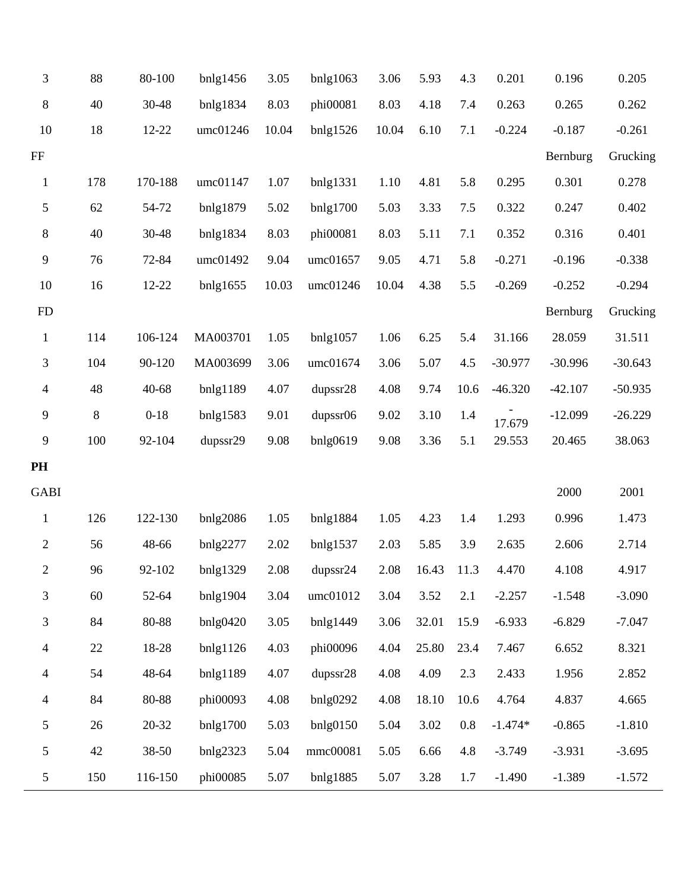| 3              | 88    | 80-100   | $b$ nlg1456 | 3.05  | bnlg1063 | 3.06  | 5.93       | 4.3  | 0.201     | 0.196     | 0.205     |
|----------------|-------|----------|-------------|-------|----------|-------|------------|------|-----------|-----------|-----------|
| 8              | 40    | 30-48    | bnlg1834    | 8.03  | phi00081 | 8.03  | 4.18       | 7.4  | 0.263     | 0.265     | 0.262     |
| 10             | 18    | 12-22    | umc01246    | 10.04 | bnlg1526 | 10.04 | 6.10       | 7.1  | $-0.224$  | $-0.187$  | $-0.261$  |
| FF             |       |          |             |       |          |       |            |      |           | Bernburg  | Grucking  |
| $\mathbf{1}$   | 178   | 170-188  | umc01147    | 1.07  | bnlg1331 | 1.10  | 4.81       | 5.8  | 0.295     | 0.301     | 0.278     |
| 5              | 62    | 54-72    | bnlg1879    | 5.02  | bnlg1700 | 5.03  | 3.33       | 7.5  | 0.322     | 0.247     | 0.402     |
| 8              | 40    | 30-48    | bnlg1834    | 8.03  | phi00081 | 8.03  | 5.11       | 7.1  | 0.352     | 0.316     | 0.401     |
| 9              | 76    | 72-84    | umc01492    | 9.04  | umc01657 | 9.05  | 4.71       | 5.8  | $-0.271$  | $-0.196$  | $-0.338$  |
| 10             | 16    | 12-22    | bnlg1655    | 10.03 | umc01246 | 10.04 | 4.38       | 5.5  | $-0.269$  | $-0.252$  | $-0.294$  |
| FD             |       |          |             |       |          |       |            |      |           | Bernburg  | Grucking  |
| $\mathbf{1}$   | 114   | 106-124  | MA003701    | 1.05  | bnlg1057 | 1.06  | 6.25       | 5.4  | 31.166    | 28.059    | 31.511    |
| 3              | 104   | 90-120   | MA003699    | 3.06  | umc01674 | 3.06  | 5.07       | 4.5  | $-30.977$ | $-30.996$ | $-30.643$ |
| $\overline{4}$ | 48    | 40-68    | bnlg1189    | 4.07  | dupssr28 | 4.08  | 9.74       | 10.6 | $-46.320$ | $-42.107$ | $-50.935$ |
| 9              | $8\,$ | $0 - 18$ | bnlg1583    | 9.01  | dupssr06 | 9.02  | 3.10       | 1.4  | 17.679    | $-12.099$ | $-26.229$ |
| 9              | 100   | 92-104   | dupssr29    | 9.08  | bnlg0619 | 9.08  | 3.36       | 5.1  | 29.553    | 20.465    | 38.063    |
| PH             |       |          |             |       |          |       |            |      |           |           |           |
| <b>GABI</b>    |       |          |             |       |          |       |            |      |           | 2000      | 2001      |
| $\mathbf{1}$   | 126   | 122-130  | bnlg2086    | 1.05  | bnlg1884 | 1.05  | 4.23       | 1.4  | 1.293     | 0.996     | 1.473     |
| $\mathbf{2}$   | 56    | 48-66    | bnlg2277    | 2.02  | bnlg1537 | 2.03  | 5.85       | 3.9  | 2.635     | 2.606     | 2.714     |
| 2              | 96    | 92-102   | bnlg1329    | 2.08  | dupssr24 | 2.08  | 16.43 11.3 |      | 4.470     | 4.108     | 4.917     |
| 3              | 60    | 52-64    | bnlg1904    | 3.04  | umc01012 | 3.04  | 3.52       | 2.1  | $-2.257$  | $-1.548$  | $-3.090$  |
| 3              | 84    | 80-88    | bnlg0420    | 3.05  | bnlg1449 | 3.06  | 32.01      | 15.9 | $-6.933$  | $-6.829$  | $-7.047$  |
| $\overline{4}$ | 22    | 18-28    | bnlg1126    | 4.03  | phi00096 | 4.04  | 25.80      | 23.4 | 7.467     | 6.652     | 8.321     |
| 4              | 54    | 48-64    | bnlg1189    | 4.07  | dupssr28 | 4.08  | 4.09       | 2.3  | 2.433     | 1.956     | 2.852     |
| $\overline{4}$ | 84    | 80-88    | phi00093    | 4.08  | bnlg0292 | 4.08  | 18.10      | 10.6 | 4.764     | 4.837     | 4.665     |
| 5              | 26    | 20-32    | bnlg1700    | 5.03  | bnlg0150 | 5.04  | 3.02       | 0.8  | $-1.474*$ | $-0.865$  | $-1.810$  |
| 5              | 42    | 38-50    | bnlg2323    | 5.04  | mmc00081 | 5.05  | 6.66       | 4.8  | $-3.749$  | $-3.931$  | $-3.695$  |
| $\mathfrak{S}$ | 150   | 116-150  | phi00085    | 5.07  | bnlg1885 | 5.07  | 3.28       | 1.7  | $-1.490$  | $-1.389$  | $-1.572$  |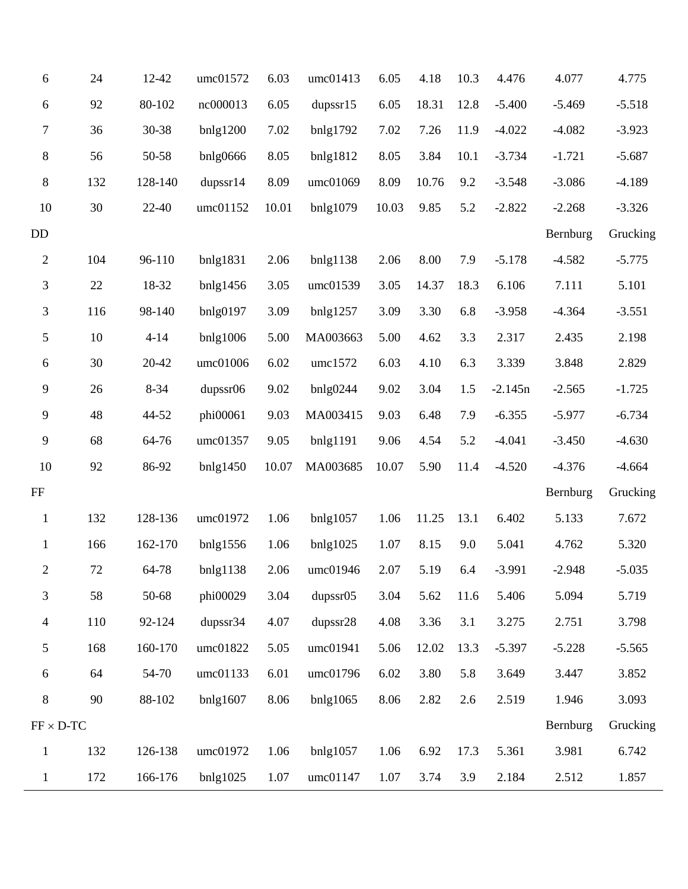| 6                | 24     | 12-42    | umc01572       | 6.03  | umc01413 | 6.05  | 4.18  | 10.3 | 4.476     | 4.077    | 4.775    |
|------------------|--------|----------|----------------|-------|----------|-------|-------|------|-----------|----------|----------|
| 6                | 92     | 80-102   | nc000013       | 6.05  | dupser15 | 6.05  | 18.31 | 12.8 | $-5.400$  | $-5.469$ | $-5.518$ |
| 7                | 36     | 30-38    | bnlg1200       | 7.02  | bnlg1792 | 7.02  | 7.26  | 11.9 | $-4.022$  | $-4.082$ | $-3.923$ |
| $\,8\,$          | 56     | 50-58    | bnlg0666       | 8.05  | bnlg1812 | 8.05  | 3.84  | 10.1 | $-3.734$  | $-1.721$ | $-5.687$ |
| $8\,$            | 132    | 128-140  | dupsstr14      | 8.09  | umc01069 | 8.09  | 10.76 | 9.2  | $-3.548$  | $-3.086$ | $-4.189$ |
| 10               | 30     | 22-40    | umc01152       | 10.01 | bnlg1079 | 10.03 | 9.85  | 5.2  | $-2.822$  | $-2.268$ | $-3.326$ |
| DD               |        |          |                |       |          |       |       |      |           | Bernburg | Grucking |
| $\mathbf{2}$     | 104    | 96-110   | bnlg1831       | 2.06  | bnlg1138 | 2.06  | 8.00  | 7.9  | $-5.178$  | $-4.582$ | $-5.775$ |
| 3                | 22     | 18-32    | bnlg1456       | 3.05  | umc01539 | 3.05  | 14.37 | 18.3 | 6.106     | 7.111    | 5.101    |
| 3                | 116    | 98-140   | bnlg0197       | 3.09  | bnlg1257 | 3.09  | 3.30  | 6.8  | $-3.958$  | $-4.364$ | $-3.551$ |
| $\sqrt{5}$       | $10\,$ | $4 - 14$ | $b$ nlg $1006$ | 5.00  | MA003663 | 5.00  | 4.62  | 3.3  | 2.317     | 2.435    | 2.198    |
| 6                | 30     | 20-42    | umc01006       | 6.02  | umc1572  | 6.03  | 4.10  | 6.3  | 3.339     | 3.848    | 2.829    |
| 9                | 26     | $8 - 34$ | dupssr06       | 9.02  | bnlg0244 | 9.02  | 3.04  | 1.5  | $-2.145n$ | $-2.565$ | $-1.725$ |
| 9                | 48     | 44-52    | phi00061       | 9.03  | MA003415 | 9.03  | 6.48  | 7.9  | $-6.355$  | $-5.977$ | $-6.734$ |
| $\mathbf{9}$     | 68     | 64-76    | umc01357       | 9.05  | bnlg1191 | 9.06  | 4.54  | 5.2  | $-4.041$  | $-3.450$ | $-4.630$ |
| 10               | 92     | 86-92    | bnlg1450       | 10.07 | MA003685 | 10.07 | 5.90  | 11.4 | $-4.520$  | $-4.376$ | $-4.664$ |
| $\rm FF$         |        |          |                |       |          |       |       |      |           | Bernburg | Grucking |
| $\mathbf{1}$     | 132    | 128-136  | umc01972       | 1.06  | bnlg1057 | 1.06  | 11.25 | 13.1 | 6.402     | 5.133    | 7.672    |
| $\mathbf{1}$     | 166    | 162-170  | bnlg1556       | 1.06  | bnlg1025 | 1.07  | 8.15  | 9.0  | 5.041     | 4.762    | 5.320    |
| 2                | 72     | 64-78    | bnlg1138       | 2.06  | umc01946 | 2.07  | 5.19  | 6.4  | $-3.991$  | $-2.948$ | $-5.035$ |
| 3                | 58     | 50-68    | phi00029       | 3.04  | dupssr05 | 3.04  | 5.62  | 11.6 | 5.406     | 5.094    | 5.719    |
| $\overline{4}$   | 110    | 92-124   | dupssr34       | 4.07  | dupssr28 | 4.08  | 3.36  | 3.1  | 3.275     | 2.751    | 3.798    |
| $\mathfrak{S}$   | 168    | 160-170  | umc01822       | 5.05  | umc01941 | 5.06  | 12.02 | 13.3 | $-5.397$  | $-5.228$ | $-5.565$ |
| 6                | 64     | 54-70    | umc01133       | 6.01  | umc01796 | 6.02  | 3.80  | 5.8  | 3.649     | 3.447    | 3.852    |
| $\,8\,$          | 90     | 88-102   | bnlg1607       | 8.06  | bnlg1065 | 8.06  | 2.82  | 2.6  | 2.519     | 1.946    | 3.093    |
| $FF \times D-TC$ |        |          |                |       |          |       |       |      |           | Bernburg | Grucking |
| $\mathbf{1}$     | 132    | 126-138  | umc01972       | 1.06  | bnlg1057 | 1.06  | 6.92  | 17.3 | 5.361     | 3.981    | 6.742    |
| $\mathbf{1}$     | 172    | 166-176  | bnlg1025       | 1.07  | umc01147 | 1.07  | 3.74  | 3.9  | 2.184     | 2.512    | 1.857    |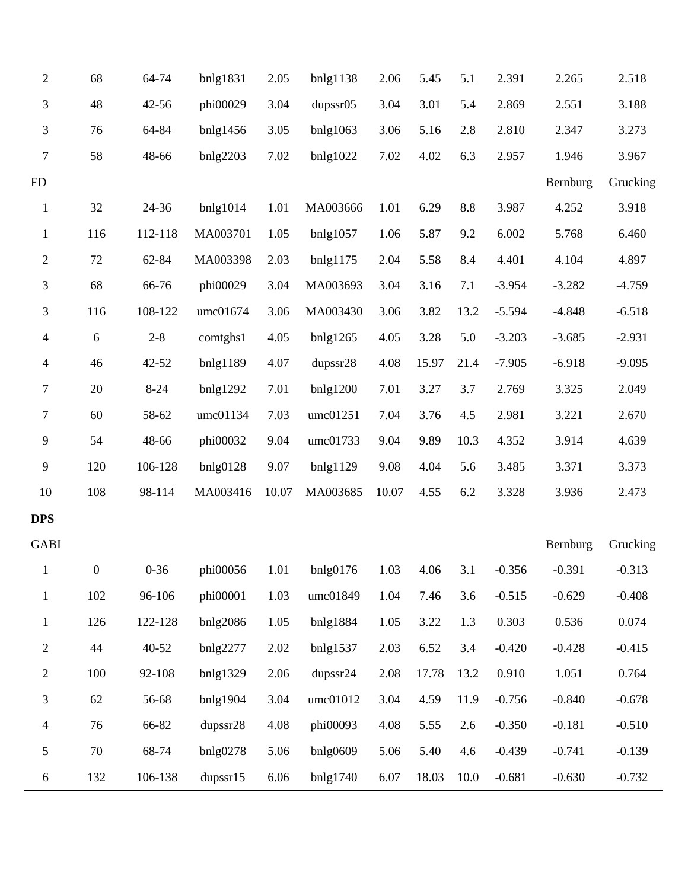| $\sqrt{2}$       | 68             | 64-74     | bnlg1831 | 2.05  | bnlg1138       | 2.06  | 5.45  | 5.1  | 2.391    | 2.265    | 2.518    |
|------------------|----------------|-----------|----------|-------|----------------|-------|-------|------|----------|----------|----------|
| 3                | 48             | 42-56     | phi00029 | 3.04  | dupssr05       | 3.04  | 3.01  | 5.4  | 2.869    | 2.551    | 3.188    |
| 3                | 76             | 64-84     | bnlg1456 | 3.05  | $b$ nlg $1063$ | 3.06  | 5.16  | 2.8  | 2.810    | 2.347    | 3.273    |
| $\boldsymbol{7}$ | 58             | 48-66     | bnlg2203 | 7.02  | bnlg1022       | 7.02  | 4.02  | 6.3  | 2.957    | 1.946    | 3.967    |
| FD               |                |           |          |       |                |       |       |      |          | Bernburg | Grucking |
| $\mathbf{1}$     | 32             | 24-36     | bnlg1014 | 1.01  | MA003666       | 1.01  | 6.29  | 8.8  | 3.987    | 4.252    | 3.918    |
| $\mathbf{1}$     | 116            | 112-118   | MA003701 | 1.05  | bnlg1057       | 1.06  | 5.87  | 9.2  | 6.002    | 5.768    | 6.460    |
| $\overline{c}$   | 72             | 62-84     | MA003398 | 2.03  | bnlg1175       | 2.04  | 5.58  | 8.4  | 4.401    | 4.104    | 4.897    |
| 3                | 68             | 66-76     | phi00029 | 3.04  | MA003693       | 3.04  | 3.16  | 7.1  | $-3.954$ | $-3.282$ | $-4.759$ |
| 3                | 116            | 108-122   | umc01674 | 3.06  | MA003430       | 3.06  | 3.82  | 13.2 | $-5.594$ | $-4.848$ | $-6.518$ |
| $\overline{4}$   | 6              | $2 - 8$   | comtghs1 | 4.05  | bnlg1265       | 4.05  | 3.28  | 5.0  | $-3.203$ | $-3.685$ | $-2.931$ |
| 4                | 46             | 42-52     | bnlg1189 | 4.07  | dupssr28       | 4.08  | 15.97 | 21.4 | $-7.905$ | $-6.918$ | $-9.095$ |
| 7                | 20             | $8 - 24$  | bnlg1292 | 7.01  | bnlg1200       | 7.01  | 3.27  | 3.7  | 2.769    | 3.325    | 2.049    |
| $\boldsymbol{7}$ | 60             | 58-62     | umc01134 | 7.03  | umc01251       | 7.04  | 3.76  | 4.5  | 2.981    | 3.221    | 2.670    |
| 9                | 54             | 48-66     | phi00032 | 9.04  | umc01733       | 9.04  | 9.89  | 10.3 | 4.352    | 3.914    | 4.639    |
| $\mathbf{9}$     | 120            | 106-128   | bnlg0128 | 9.07  | bnlg1129       | 9.08  | 4.04  | 5.6  | 3.485    | 3.371    | 3.373    |
| 10               | 108            | 98-114    | MA003416 | 10.07 | MA003685       | 10.07 | 4.55  | 6.2  | 3.328    | 3.936    | 2.473    |
| <b>DPS</b>       |                |           |          |       |                |       |       |      |          |          |          |
| <b>GABI</b>      |                |           |          |       |                |       |       |      |          | Bernburg | Grucking |
| 1                | $\overline{0}$ | $0 - 36$  | phi00056 | 1.01  | bnlg0176       | 1.03  | 4.06  | 3.1  | $-0.356$ | $-0.391$ | $-0.313$ |
| $\mathbf{1}$     | 102            | 96-106    | phi00001 | 1.03  | umc01849       | 1.04  | 7.46  | 3.6  | $-0.515$ | $-0.629$ | $-0.408$ |
| $\mathbf{1}$     | 126            | 122-128   | bnlg2086 | 1.05  | bnlg1884       | 1.05  | 3.22  | 1.3  | 0.303    | 0.536    | 0.074    |
| $\mathbf{2}$     | 44             | $40 - 52$ | bnlg2277 | 2.02  | bnlg1537       | 2.03  | 6.52  | 3.4  | $-0.420$ | $-0.428$ | $-0.415$ |
| $\mathbf{2}$     | 100            | 92-108    | bnlg1329 | 2.06  | dupssr24       | 2.08  | 17.78 | 13.2 | 0.910    | 1.051    | 0.764    |
| 3                | 62             | 56-68     | bnlg1904 | 3.04  | umc01012       | 3.04  | 4.59  | 11.9 | $-0.756$ | $-0.840$ | $-0.678$ |
| $\overline{4}$   | 76             | 66-82     | dupssr28 | 4.08  | phi00093       | 4.08  | 5.55  | 2.6  | $-0.350$ | $-0.181$ | $-0.510$ |
| 5                | 70             | 68-74     | bnlg0278 | 5.06  | bnlg0609       | 5.06  | 5.40  | 4.6  | $-0.439$ | $-0.741$ | $-0.139$ |
| 6                | 132            | 106-138   | dupss15  | 6.06  | bnlg1740       | 6.07  | 18.03 | 10.0 | $-0.681$ | $-0.630$ | $-0.732$ |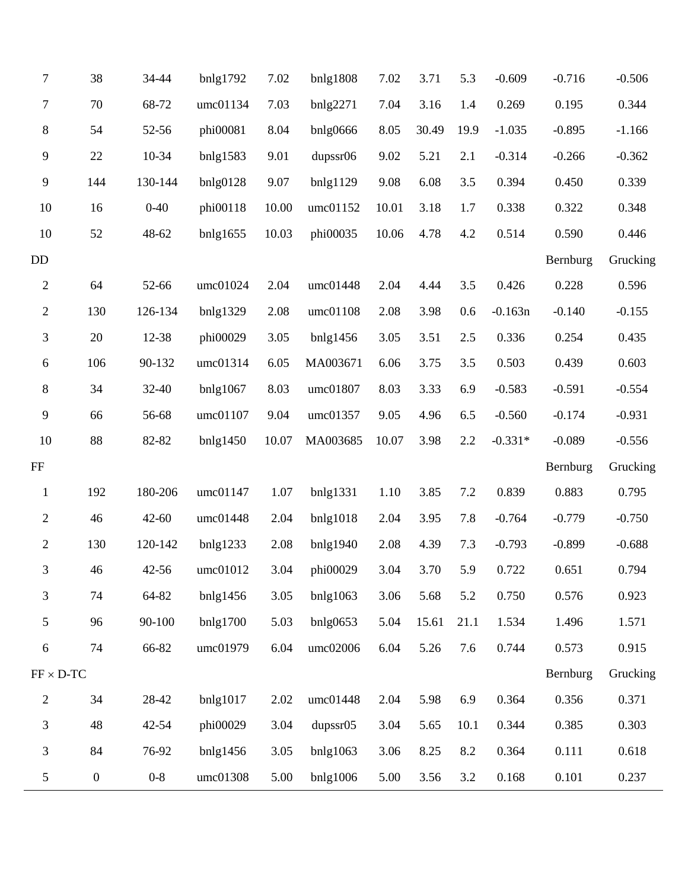| 7                | 38  | 34-44     | bnlg1792 | 7.02  | bnlg1808       | 7.02  | 3.71  | 5.3  | $-0.609$  | $-0.716$ | $-0.506$ |
|------------------|-----|-----------|----------|-------|----------------|-------|-------|------|-----------|----------|----------|
| 7                | 70  | 68-72     | umc01134 | 7.03  | bnlg2271       | 7.04  | 3.16  | 1.4  | 0.269     | 0.195    | 0.344    |
| $\,8$            | 54  | 52-56     | phi00081 | 8.04  | bnlg0666       | 8.05  | 30.49 | 19.9 | $-1.035$  | $-0.895$ | $-1.166$ |
| 9                | 22  | 10-34     | bnlg1583 | 9.01  | dupssr06       | 9.02  | 5.21  | 2.1  | $-0.314$  | $-0.266$ | $-0.362$ |
| 9                | 144 | 130-144   | bnlg0128 | 9.07  | bnlg1129       | 9.08  | 6.08  | 3.5  | 0.394     | 0.450    | 0.339    |
| 10               | 16  | $0 - 40$  | phi00118 | 10.00 | umc01152       | 10.01 | 3.18  | 1.7  | 0.338     | 0.322    | 0.348    |
| 10               | 52  | 48-62     | bnlg1655 | 10.03 | phi00035       | 10.06 | 4.78  | 4.2  | 0.514     | 0.590    | 0.446    |
| DD               |     |           |          |       |                |       |       |      |           | Bernburg | Grucking |
| $\boldsymbol{2}$ | 64  | 52-66     | umc01024 | 2.04  | umc01448       | 2.04  | 4.44  | 3.5  | 0.426     | 0.228    | 0.596    |
| $\mathbf{2}$     | 130 | 126-134   | bnlg1329 | 2.08  | umc01108       | 2.08  | 3.98  | 0.6  | $-0.163n$ | $-0.140$ | $-0.155$ |
| 3                | 20  | 12-38     | phi00029 | 3.05  | bnlg1456       | 3.05  | 3.51  | 2.5  | 0.336     | 0.254    | 0.435    |
| $\boldsymbol{6}$ | 106 | 90-132    | umc01314 | 6.05  | MA003671       | 6.06  | 3.75  | 3.5  | 0.503     | 0.439    | 0.603    |
| 8                | 34  | 32-40     | bnlg1067 | 8.03  | umc01807       | 8.03  | 3.33  | 6.9  | $-0.583$  | $-0.591$ | $-0.554$ |
| 9                | 66  | 56-68     | umc01107 | 9.04  | umc01357       | 9.05  | 4.96  | 6.5  | $-0.560$  | $-0.174$ | $-0.931$ |
| 10               | 88  | 82-82     | bnlg1450 | 10.07 | MA003685       | 10.07 | 3.98  | 2.2  | $-0.331*$ | $-0.089$ | $-0.556$ |
| $\rm FF$         |     |           |          |       |                |       |       |      |           | Bernburg | Grucking |
| $\mathbf{1}$     | 192 | 180-206   | umc01147 | 1.07  | bnlg1331       | 1.10  | 3.85  | 7.2  | 0.839     | 0.883    | 0.795    |
| $\overline{2}$   | 46  | $42 - 60$ | umc01448 | 2.04  | bnlg1018       | 2.04  | 3.95  | 7.8  | $-0.764$  | $-0.779$ | $-0.750$ |
| $\mathbf{2}$     | 130 | 120-142   | bnlg1233 | 2.08  | bnlg1940       | 2.08  | 4.39  | 7.3  | $-0.793$  | $-0.899$ | $-0.688$ |
| 3                | 46  | $42 - 56$ | umc01012 | 3.04  | phi00029       | 3.04  | 3.70  | 5.9  | 0.722     | 0.651    | 0.794    |
| 3                | 74  | 64-82     | bnlg1456 | 3.05  | $b$ nlg $1063$ | 3.06  | 5.68  | 5.2  | 0.750     | 0.576    | 0.923    |
| 5                | 96  | 90-100    | bnlg1700 | 5.03  | bnlg0653       | 5.04  | 15.61 | 21.1 | 1.534     | 1.496    | 1.571    |
| 6                | 74  | 66-82     | umc01979 | 6.04  | umc02006       | 6.04  | 5.26  | 7.6  | 0.744     | 0.573    | 0.915    |
| $FF \times D-TC$ |     |           |          |       |                |       |       |      |           | Bernburg | Grucking |
| $\overline{c}$   |     |           |          |       | umc01448       | 2.04  | 5.98  | 6.9  | 0.364     | 0.356    | 0.371    |
|                  | 34  | 28-42     | bnlg1017 | 2.02  |                |       |       |      |           |          |          |
| $\mathfrak{Z}$   | 48  | 42-54     | phi00029 | 3.04  | dupssr05       | 3.04  | 5.65  | 10.1 | 0.344     | 0.385    | 0.303    |
| $\mathfrak{Z}$   | 84  | 76-92     | bnlg1456 | 3.05  | $b$ nlg $1063$ | 3.06  | 8.25  | 8.2  | 0.364     | 0.111    | 0.618    |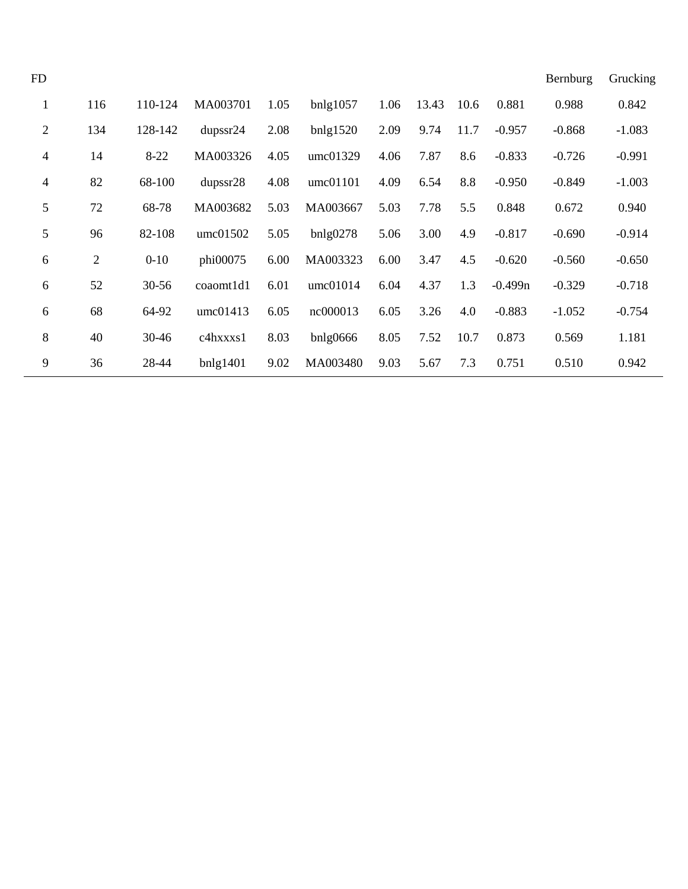| FD                       |              |           |                      |      |                |      |       |      |           | Bernburg | Grucking |
|--------------------------|--------------|-----------|----------------------|------|----------------|------|-------|------|-----------|----------|----------|
| $\mathbf{1}$             | 116          | 110-124   | MA003701             | 1.05 | bnlg1057       | 1.06 | 13.43 | 10.6 | 0.881     | 0.988    | 0.842    |
| $\mathbf{2}$             | 134          | 128-142   | dupser <sub>24</sub> | 2.08 | bnlg1520       | 2.09 | 9.74  | 11.7 | $-0.957$  | $-0.868$ | $-1.083$ |
| $\overline{\mathcal{A}}$ | 14           | $8 - 22$  | MA003326             | 4.05 | umc01329       | 4.06 | 7.87  | 8.6  | $-0.833$  | $-0.726$ | $-0.991$ |
| $\overline{\mathcal{L}}$ | 82           | 68-100    | dupss r28            | 4.08 | umc01101       | 4.09 | 6.54  | 8.8  | $-0.950$  | $-0.849$ | $-1.003$ |
| 5                        | 72           | 68-78     | MA003682             | 5.03 | MA003667       | 5.03 | 7.78  | 5.5  | 0.848     | 0.672    | 0.940    |
| 5                        | 96           | 82-108    | umc01502             | 5.05 | bnlg0278       | 5.06 | 3.00  | 4.9  | $-0.817$  | $-0.690$ | $-0.914$ |
| $6\,$                    | $\mathbf{2}$ | $0 - 10$  | phi00075             | 6.00 | MA003323       | 6.00 | 3.47  | 4.5  | $-0.620$  | $-0.560$ | $-0.650$ |
| 6                        | 52           | $30 - 56$ | coaomt1d1            | 6.01 | umc01014       | 6.04 | 4.37  | 1.3  | $-0.499n$ | $-0.329$ | $-0.718$ |
| 6                        | 68           | 64-92     | umc01413             | 6.05 | nc000013       | 6.05 | 3.26  | 4.0  | $-0.883$  | $-1.052$ | $-0.754$ |
| $\, 8$                   | 40           | 30-46     | c4hxxxs1             | 8.03 | $b$ nlg $0666$ | 8.05 | 7.52  | 10.7 | 0.873     | 0.569    | 1.181    |
| 9                        | 36           | 28-44     | bnlg1401             | 9.02 | MA003480       | 9.03 | 5.67  | 7.3  | 0.751     | 0.510    | 0.942    |